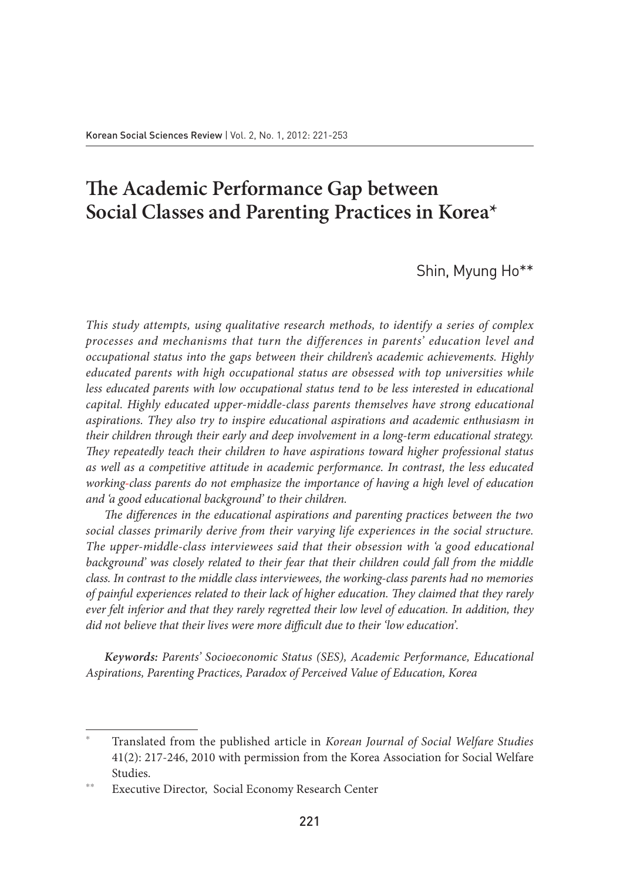# **The Academic Performance Gap between Social Classes and Parenting Practices in Korea\***

Shin, Myung Ho\*\*

*This study attempts, using qualitative research methods, to identify a series of complex processes and mechanisms that turn the differences in parents' education level and occupational status into the gaps between their children's academic achievements. Highly educated parents with high occupational status are obsessed with top universities while less educated parents with low occupational status tend to be less interested in educational capital. Highly educated upper-middle-class parents themselves have strong educational aspirations. They also try to inspire educational aspirations and academic enthusiasm in their children through their early and deep involvement in a long-term educational strategy. They repeatedly teach their children to have aspirations toward higher professional status as well as a competitive attitude in academic performance. In contrast, the less educated working-class parents do not emphasize the importance of having a high level of education and 'a good educational background' to their children.*

*The differences in the educational aspirations and parenting practices between the two social classes primarily derive from their varying life experiences in the social structure. The upper-middle-class interviewees said that their obsession with 'a good educational*  background' was closely related to their fear that their children could fall from the middle *class. In contrast to the middle class interviewees, the working-class parents had no memories of painful experiences related to their lack of higher education. They claimed that they rarely ever felt inferior and that they rarely regretted their low level of education. In addition, they did not believe that their lives were more difficult due to their 'low education'.*

*Keywords: Parents' Socioeconomic Status (SES), Academic Performance, Educational Aspirations, Parenting Practices, Paradox of Perceived Value of Education, Korea*

<sup>\*</sup> Translated from the published article in *Korean Journal of Social Welfare Studies*  41(2): 217-246, 2010 with permission from the Korea Association for Social Welfare Studies.

Executive Director, Social Economy Research Center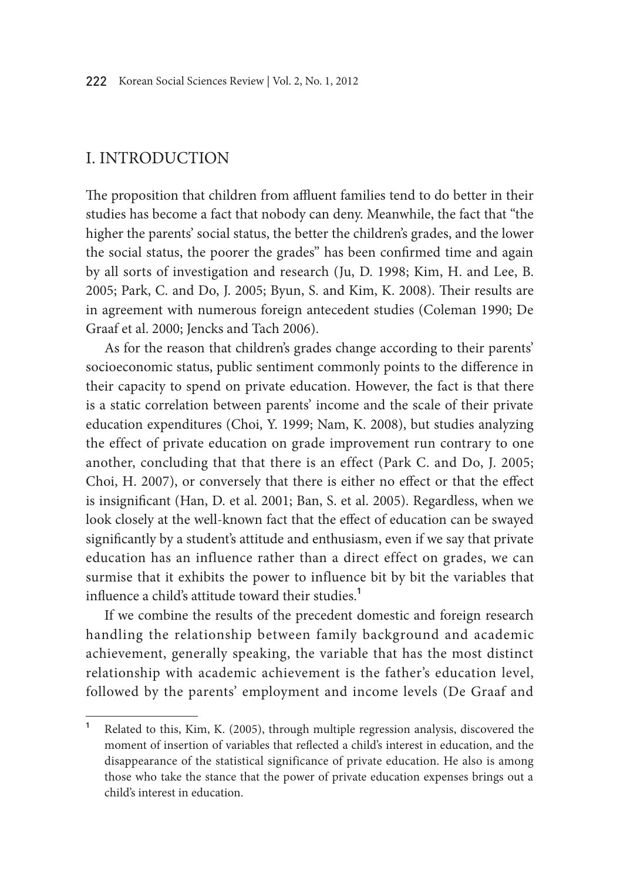### I. Introduction

The proposition that children from affluent families tend to do better in their studies has become a fact that nobody can deny. Meanwhile, the fact that "the higher the parents' social status, the better the children's grades, and the lower the social status, the poorer the grades" has been confirmed time and again by all sorts of investigation and research (Ju, D. 1998; Kim, H. and Lee, B. 2005; Park, C. and Do, J. 2005; Byun, S. and Kim, K. 2008). Their results are in agreement with numerous foreign antecedent studies (Coleman 1990; De Graaf et al. 2000; Jencks and Tach 2006).

As for the reason that children's grades change according to their parents' socioeconomic status, public sentiment commonly points to the difference in their capacity to spend on private education. However, the fact is that there is a static correlation between parents' income and the scale of their private education expenditures (Choi, Y. 1999; Nam, K. 2008), but studies analyzing the effect of private education on grade improvement run contrary to one another, concluding that that there is an effect (Park C. and Do, J. 2005; Choi, H. 2007), or conversely that there is either no effect or that the effect is insignificant (Han, D. et al. 2001; Ban, S. et al. 2005). Regardless, when we look closely at the well-known fact that the effect of education can be swayed significantly by a student's attitude and enthusiasm, even if we say that private education has an influence rather than a direct effect on grades, we can surmise that it exhibits the power to influence bit by bit the variables that influence a child's attitude toward their studies.**<sup>1</sup>**

If we combine the results of the precedent domestic and foreign research handling the relationship between family background and academic achievement, generally speaking, the variable that has the most distinct relationship with academic achievement is the father's education level, followed by the parents' employment and income levels (De Graaf and

**<sup>1</sup>** Related to this, Kim, K. (2005), through multiple regression analysis, discovered the moment of insertion of variables that reflected a child's interest in education, and the disappearance of the statistical significance of private education. He also is among those who take the stance that the power of private education expenses brings out a child's interest in education.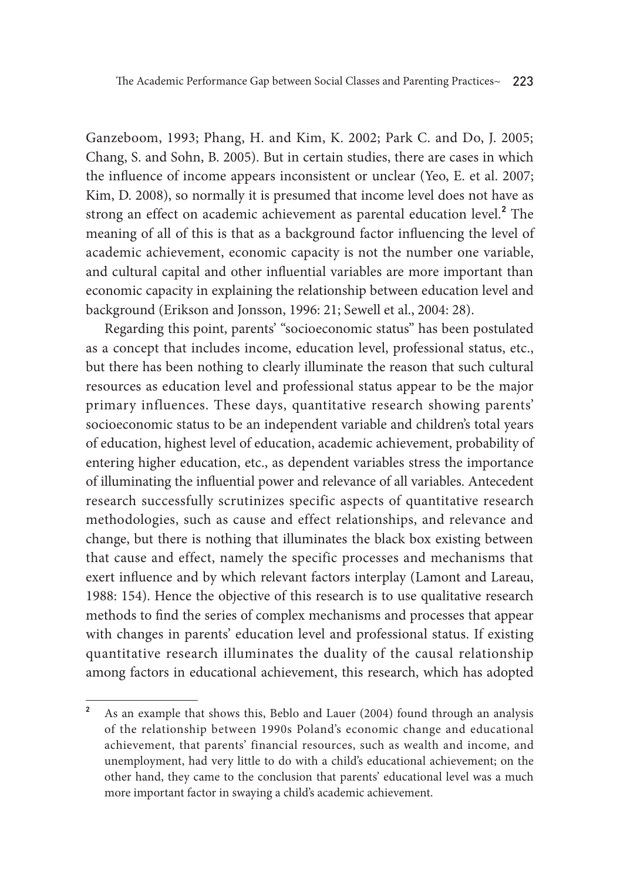Ganzeboom, 1993; Phang, H. and Kim, K. 2002; Park C. and Do, J. 2005; Chang, S. and Sohn, B. 2005). But in certain studies, there are cases in which the influence of income appears inconsistent or unclear (Yeo, E. et al. 2007; Kim, D. 2008), so normally it is presumed that income level does not have as strong an effect on academic achievement as parental education level.**<sup>2</sup>** The meaning of all of this is that as a background factor influencing the level of academic achievement, economic capacity is not the number one variable, and cultural capital and other influential variables are more important than economic capacity in explaining the relationship between education level and background (Erikson and Jonsson, 1996: 21; Sewell et al., 2004: 28).

Regarding this point, parents' "socioeconomic status" has been postulated as a concept that includes income, education level, professional status, etc., but there has been nothing to clearly illuminate the reason that such cultural resources as education level and professional status appear to be the major primary influences. These days, quantitative research showing parents' socioeconomic status to be an independent variable and children's total years of education, highest level of education, academic achievement, probability of entering higher education, etc., as dependent variables stress the importance of illuminating the influential power and relevance of all variables. Antecedent research successfully scrutinizes specific aspects of quantitative research methodologies, such as cause and effect relationships, and relevance and change, but there is nothing that illuminates the black box existing between that cause and effect, namely the specific processes and mechanisms that exert influence and by which relevant factors interplay (Lamont and Lareau, 1988: 154). Hence the objective of this research is to use qualitative research methods to find the series of complex mechanisms and processes that appear with changes in parents' education level and professional status. If existing quantitative research illuminates the duality of the causal relationship among factors in educational achievement, this research, which has adopted

**<sup>2</sup>** As an example that shows this, Beblo and Lauer (2004) found through an analysis of the relationship between 1990s Poland's economic change and educational achievement, that parents' financial resources, such as wealth and income, and unemployment, had very little to do with a child's educational achievement; on the other hand, they came to the conclusion that parents' educational level was a much more important factor in swaying a child's academic achievement.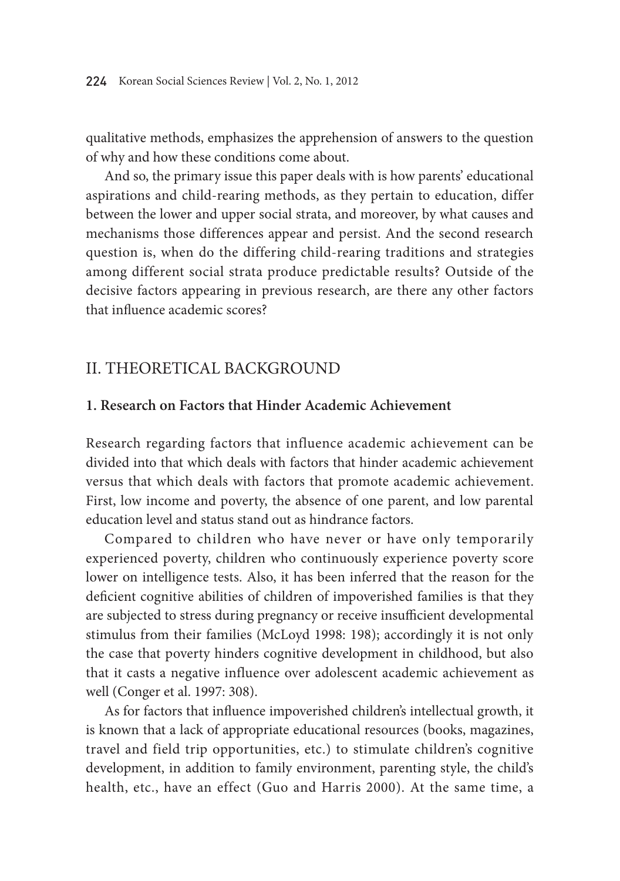qualitative methods, emphasizes the apprehension of answers to the question of why and how these conditions come about.

And so, the primary issue this paper deals with is how parents' educational aspirations and child-rearing methods, as they pertain to education, differ between the lower and upper social strata, and moreover, by what causes and mechanisms those differences appear and persist. And the second research question is, when do the differing child-rearing traditions and strategies among different social strata produce predictable results? Outside of the decisive factors appearing in previous research, are there any other factors that influence academic scores?

### II. Theoretical Background

#### **1. Research on Factors that Hinder Academic Achievement**

Research regarding factors that influence academic achievement can be divided into that which deals with factors that hinder academic achievement versus that which deals with factors that promote academic achievement. First, low income and poverty, the absence of one parent, and low parental education level and status stand out as hindrance factors.

Compared to children who have never or have only temporarily experienced poverty, children who continuously experience poverty score lower on intelligence tests. Also, it has been inferred that the reason for the deficient cognitive abilities of children of impoverished families is that they are subjected to stress during pregnancy or receive insufficient developmental stimulus from their families (McLoyd 1998: 198); accordingly it is not only the case that poverty hinders cognitive development in childhood, but also that it casts a negative influence over adolescent academic achievement as well (Conger et al. 1997: 308).

As for factors that influence impoverished children's intellectual growth, it is known that a lack of appropriate educational resources (books, magazines, travel and field trip opportunities, etc.) to stimulate children's cognitive development, in addition to family environment, parenting style, the child's health, etc., have an effect (Guo and Harris 2000). At the same time, a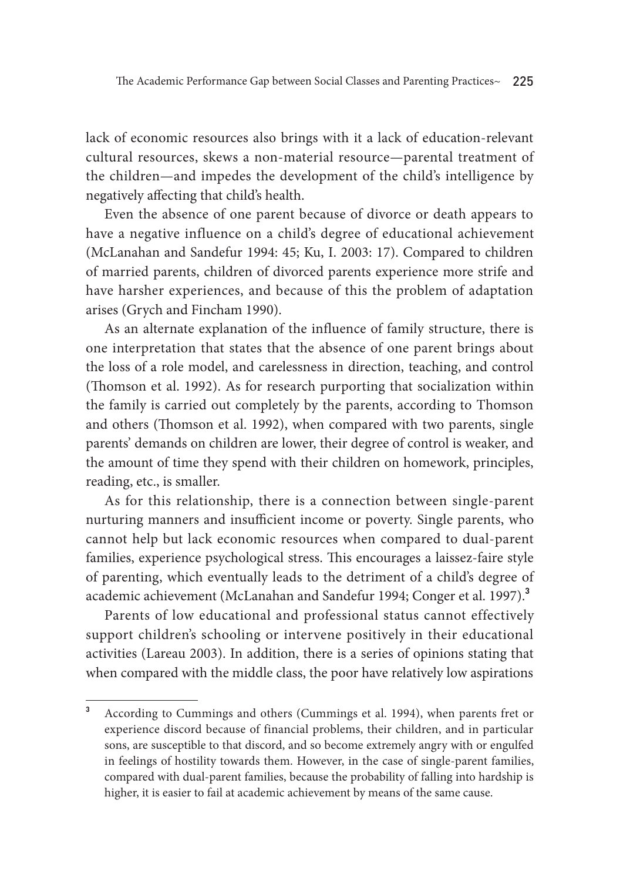lack of economic resources also brings with it a lack of education-relevant cultural resources, skews a non-material resource—parental treatment of the children—and impedes the development of the child's intelligence by negatively affecting that child's health.

Even the absence of one parent because of divorce or death appears to have a negative influence on a child's degree of educational achievement (McLanahan and Sandefur 1994: 45; Ku, I. 2003: 17). Compared to children of married parents, children of divorced parents experience more strife and have harsher experiences, and because of this the problem of adaptation arises (Grych and Fincham 1990).

As an alternate explanation of the influence of family structure, there is one interpretation that states that the absence of one parent brings about the loss of a role model, and carelessness in direction, teaching, and control (Thomson et al. 1992). As for research purporting that socialization within the family is carried out completely by the parents, according to Thomson and others (Thomson et al. 1992), when compared with two parents, single parents' demands on children are lower, their degree of control is weaker, and the amount of time they spend with their children on homework, principles, reading, etc., is smaller.

As for this relationship, there is a connection between single-parent nurturing manners and insufficient income or poverty. Single parents, who cannot help but lack economic resources when compared to dual-parent families, experience psychological stress. This encourages a laissez-faire style of parenting, which eventually leads to the detriment of a child's degree of academic achievement (McLanahan and Sandefur 1994; Conger et al. 1997).**<sup>3</sup>**

Parents of low educational and professional status cannot effectively support children's schooling or intervene positively in their educational activities (Lareau 2003). In addition, there is a series of opinions stating that when compared with the middle class, the poor have relatively low aspirations

**<sup>3</sup>** According to Cummings and others (Cummings et al. 1994), when parents fret or experience discord because of financial problems, their children, and in particular sons, are susceptible to that discord, and so become extremely angry with or engulfed in feelings of hostility towards them. However, in the case of single-parent families, compared with dual-parent families, because the probability of falling into hardship is higher, it is easier to fail at academic achievement by means of the same cause.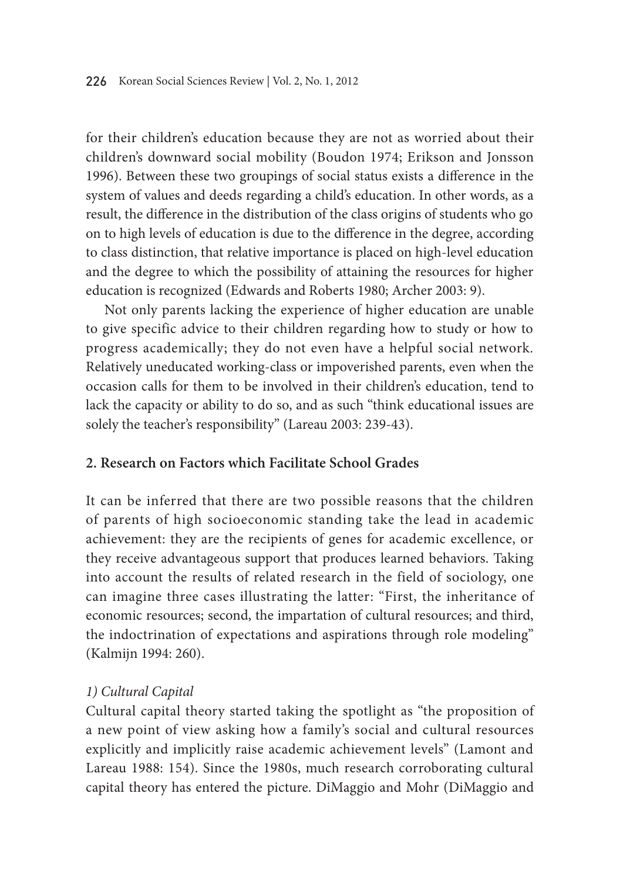for their children's education because they are not as worried about their children's downward social mobility (Boudon 1974; Erikson and Jonsson 1996). Between these two groupings of social status exists a difference in the system of values and deeds regarding a child's education. In other words, as a result, the difference in the distribution of the class origins of students who go on to high levels of education is due to the difference in the degree, according to class distinction, that relative importance is placed on high-level education and the degree to which the possibility of attaining the resources for higher education is recognized (Edwards and Roberts 1980; Archer 2003: 9).

Not only parents lacking the experience of higher education are unable to give specific advice to their children regarding how to study or how to progress academically; they do not even have a helpful social network. Relatively uneducated working-class or impoverished parents, even when the occasion calls for them to be involved in their children's education, tend to lack the capacity or ability to do so, and as such "think educational issues are solely the teacher's responsibility" (Lareau 2003: 239-43).

#### **2. Research on Factors which Facilitate School Grades**

It can be inferred that there are two possible reasons that the children of parents of high socioeconomic standing take the lead in academic achievement: they are the recipients of genes for academic excellence, or they receive advantageous support that produces learned behaviors. Taking into account the results of related research in the field of sociology, one can imagine three cases illustrating the latter: "First, the inheritance of economic resources; second, the impartation of cultural resources; and third, the indoctrination of expectations and aspirations through role modeling" (Kalmijn 1994: 260).

#### *1) Cultural Capital*

Cultural capital theory started taking the spotlight as "the proposition of a new point of view asking how a family's social and cultural resources explicitly and implicitly raise academic achievement levels" (Lamont and Lareau 1988: 154). Since the 1980s, much research corroborating cultural capital theory has entered the picture. DiMaggio and Mohr (DiMaggio and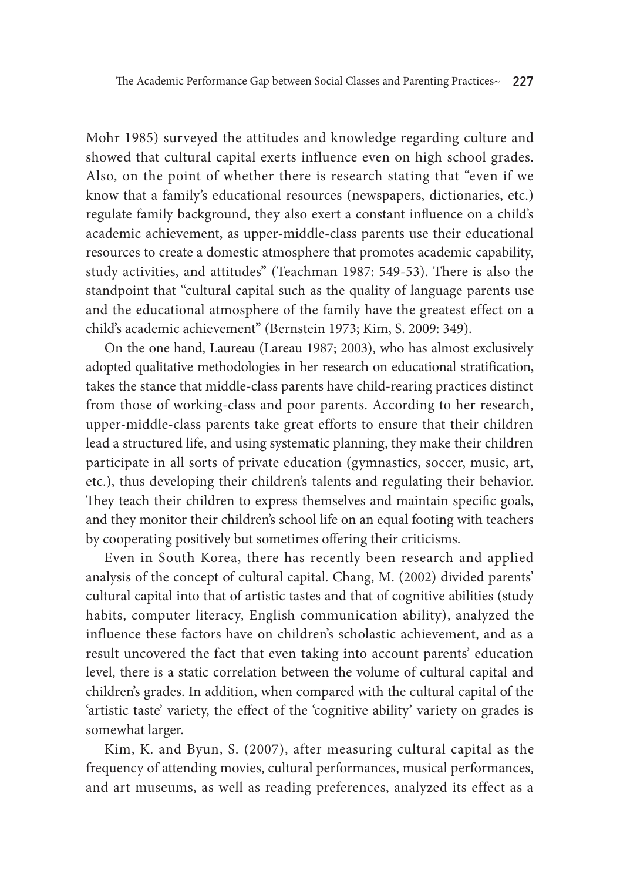Mohr 1985) surveyed the attitudes and knowledge regarding culture and showed that cultural capital exerts influence even on high school grades. Also, on the point of whether there is research stating that "even if we know that a family's educational resources (newspapers, dictionaries, etc.) regulate family background, they also exert a constant influence on a child's academic achievement, as upper-middle-class parents use their educational resources to create a domestic atmosphere that promotes academic capability, study activities, and attitudes" (Teachman 1987: 549-53). There is also the standpoint that "cultural capital such as the quality of language parents use and the educational atmosphere of the family have the greatest effect on a child's academic achievement" (Bernstein 1973; Kim, S. 2009: 349).

On the one hand, Laureau (Lareau 1987; 2003), who has almost exclusively adopted qualitative methodologies in her research on educational stratification, takes the stance that middle-class parents have child-rearing practices distinct from those of working-class and poor parents. According to her research, upper-middle-class parents take great efforts to ensure that their children lead a structured life, and using systematic planning, they make their children participate in all sorts of private education (gymnastics, soccer, music, art, etc.), thus developing their children's talents and regulating their behavior. They teach their children to express themselves and maintain specific goals, and they monitor their children's school life on an equal footing with teachers by cooperating positively but sometimes offering their criticisms.

Even in South Korea, there has recently been research and applied analysis of the concept of cultural capital. Chang, M. (2002) divided parents' cultural capital into that of artistic tastes and that of cognitive abilities (study habits, computer literacy, English communication ability), analyzed the influence these factors have on children's scholastic achievement, and as a result uncovered the fact that even taking into account parents' education level, there is a static correlation between the volume of cultural capital and children's grades. In addition, when compared with the cultural capital of the 'artistic taste' variety, the effect of the 'cognitive ability' variety on grades is somewhat larger.

Kim, K. and Byun, S. (2007), after measuring cultural capital as the frequency of attending movies, cultural performances, musical performances, and art museums, as well as reading preferences, analyzed its effect as a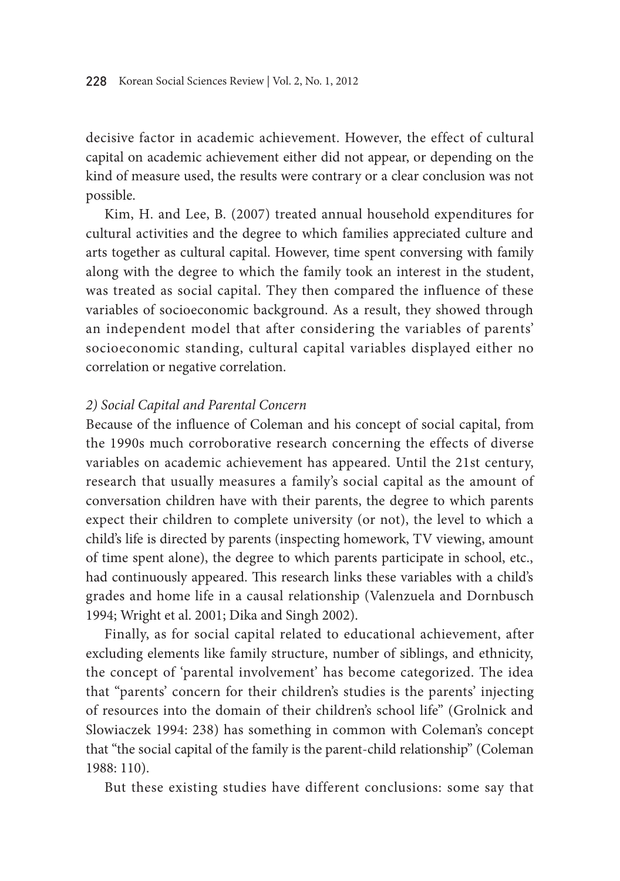decisive factor in academic achievement. However, the effect of cultural capital on academic achievement either did not appear, or depending on the kind of measure used, the results were contrary or a clear conclusion was not possible.

Kim, H. and Lee, B. (2007) treated annual household expenditures for cultural activities and the degree to which families appreciated culture and arts together as cultural capital. However, time spent conversing with family along with the degree to which the family took an interest in the student, was treated as social capital. They then compared the influence of these variables of socioeconomic background. As a result, they showed through an independent model that after considering the variables of parents' socioeconomic standing, cultural capital variables displayed either no correlation or negative correlation.

#### *2) Social Capital and Parental Concern*

Because of the influence of Coleman and his concept of social capital, from the 1990s much corroborative research concerning the effects of diverse variables on academic achievement has appeared. Until the 21st century, research that usually measures a family's social capital as the amount of conversation children have with their parents, the degree to which parents expect their children to complete university (or not), the level to which a child's life is directed by parents (inspecting homework, TV viewing, amount of time spent alone), the degree to which parents participate in school, etc., had continuously appeared. This research links these variables with a child's grades and home life in a causal relationship (Valenzuela and Dornbusch 1994; Wright et al. 2001; Dika and Singh 2002).

Finally, as for social capital related to educational achievement, after excluding elements like family structure, number of siblings, and ethnicity, the concept of 'parental involvement' has become categorized. The idea that "parents' concern for their children's studies is the parents' injecting of resources into the domain of their children's school life" (Grolnick and Slowiaczek 1994: 238) has something in common with Coleman's concept that "the social capital of the family is the parent-child relationship" (Coleman 1988: 110).

But these existing studies have different conclusions: some say that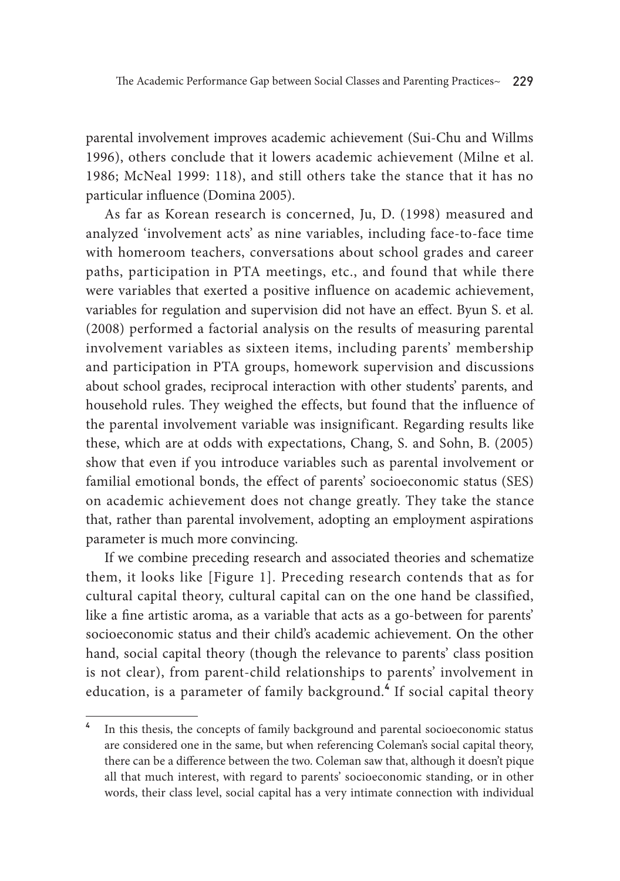parental involvement improves academic achievement (Sui-Chu and Willms 1996), others conclude that it lowers academic achievement (Milne et al. 1986; McNeal 1999: 118), and still others take the stance that it has no particular influence (Domina 2005).

As far as Korean research is concerned, Ju, D. (1998) measured and analyzed 'involvement acts' as nine variables, including face-to-face time with homeroom teachers, conversations about school grades and career paths, participation in PTA meetings, etc., and found that while there were variables that exerted a positive influence on academic achievement, variables for regulation and supervision did not have an effect. Byun S. et al. (2008) performed a factorial analysis on the results of measuring parental involvement variables as sixteen items, including parents' membership and participation in PTA groups, homework supervision and discussions about school grades, reciprocal interaction with other students' parents, and household rules. They weighed the effects, but found that the influence of the parental involvement variable was insignificant. Regarding results like these, which are at odds with expectations, Chang, S. and Sohn, B. (2005) show that even if you introduce variables such as parental involvement or familial emotional bonds, the effect of parents' socioeconomic status (SES) on academic achievement does not change greatly. They take the stance that, rather than parental involvement, adopting an employment aspirations parameter is much more convincing.

If we combine preceding research and associated theories and schematize them, it looks like [Figure 1]. Preceding research contends that as for cultural capital theory, cultural capital can on the one hand be classified, like a fine artistic aroma, as a variable that acts as a go-between for parents' socioeconomic status and their child's academic achievement. On the other hand, social capital theory (though the relevance to parents' class position is not clear), from parent-child relationships to parents' involvement in education, is a parameter of family background.**<sup>4</sup>** If social capital theory

**<sup>4</sup>** In this thesis, the concepts of family background and parental socioeconomic status are considered one in the same, but when referencing Coleman's social capital theory, there can be a difference between the two. Coleman saw that, although it doesn't pique all that much interest, with regard to parents' socioeconomic standing, or in other words, their class level, social capital has a very intimate connection with individual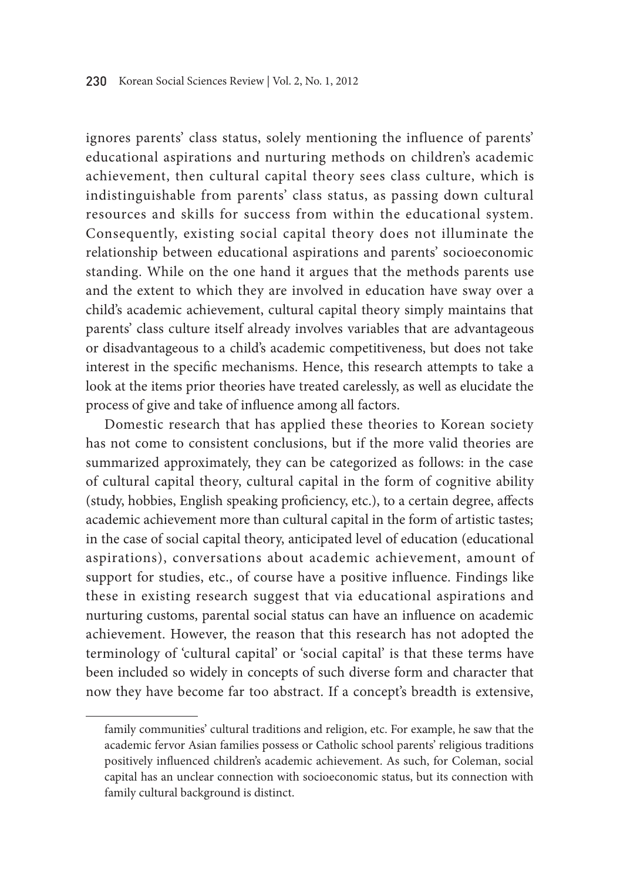ignores parents' class status, solely mentioning the influence of parents' educational aspirations and nurturing methods on children's academic achievement, then cultural capital theory sees class culture, which is indistinguishable from parents' class status, as passing down cultural resources and skills for success from within the educational system. Consequently, existing social capital theory does not illuminate the relationship between educational aspirations and parents' socioeconomic standing. While on the one hand it argues that the methods parents use and the extent to which they are involved in education have sway over a child's academic achievement, cultural capital theory simply maintains that parents' class culture itself already involves variables that are advantageous or disadvantageous to a child's academic competitiveness, but does not take interest in the specific mechanisms. Hence, this research attempts to take a look at the items prior theories have treated carelessly, as well as elucidate the process of give and take of influence among all factors.

Domestic research that has applied these theories to Korean society has not come to consistent conclusions, but if the more valid theories are summarized approximately, they can be categorized as follows: in the case of cultural capital theory, cultural capital in the form of cognitive ability (study, hobbies, English speaking proficiency, etc.), to a certain degree, affects academic achievement more than cultural capital in the form of artistic tastes; in the case of social capital theory, anticipated level of education (educational aspirations), conversations about academic achievement, amount of support for studies, etc., of course have a positive influence. Findings like these in existing research suggest that via educational aspirations and nurturing customs, parental social status can have an influence on academic achievement. However, the reason that this research has not adopted the terminology of 'cultural capital' or 'social capital' is that these terms have been included so widely in concepts of such diverse form and character that now they have become far too abstract. If a concept's breadth is extensive,

family communities' cultural traditions and religion, etc. For example, he saw that the academic fervor Asian families possess or Catholic school parents' religious traditions positively influenced children's academic achievement. As such, for Coleman, social capital has an unclear connection with socioeconomic status, but its connection with family cultural background is distinct.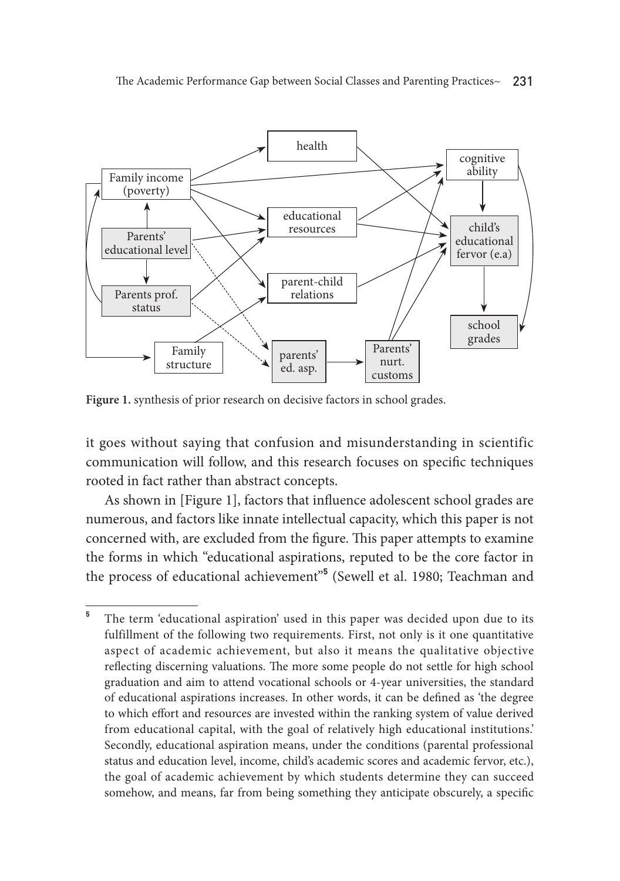

Figure 1. synthesis of prior research on decisive factors in school grades.

it goes without saying that confusion and misunderstanding in scientific communication will follow, and this research focuses on specific techniques rooted in fact rather than abstract concepts.

As shown in [Figure 1], factors that influence adolescent school grades are numerous, and factors like innate intellectual capacity, which this paper is not concerned with, are excluded from the figure. This paper attempts to examine the forms in which "educational aspirations, reputed to be the core factor in the process of educational achievement"**<sup>5</sup>** (Sewell et al. 1980; Teachman and

<sup>&</sup>lt;sup>5</sup> The term 'educational aspiration' used in this paper was decided upon due to its fulfillment of the following two requirements. First, not only is it one quantitative aspect of academic achievement, but also it means the qualitative objective reflecting discerning valuations. The more some people do not settle for high school graduation and aim to attend vocational schools or 4-year universities, the standard of educational aspirations increases. In other words, it can be defined as 'the degree to which effort and resources are invested within the ranking system of value derived from educational capital, with the goal of relatively high educational institutions.' Secondly, educational aspiration means, under the conditions (parental professional status and education level, income, child's academic scores and academic fervor, etc.), the goal of academic achievement by which students determine they can succeed somehow, and means, far from being something they anticipate obscurely, a specific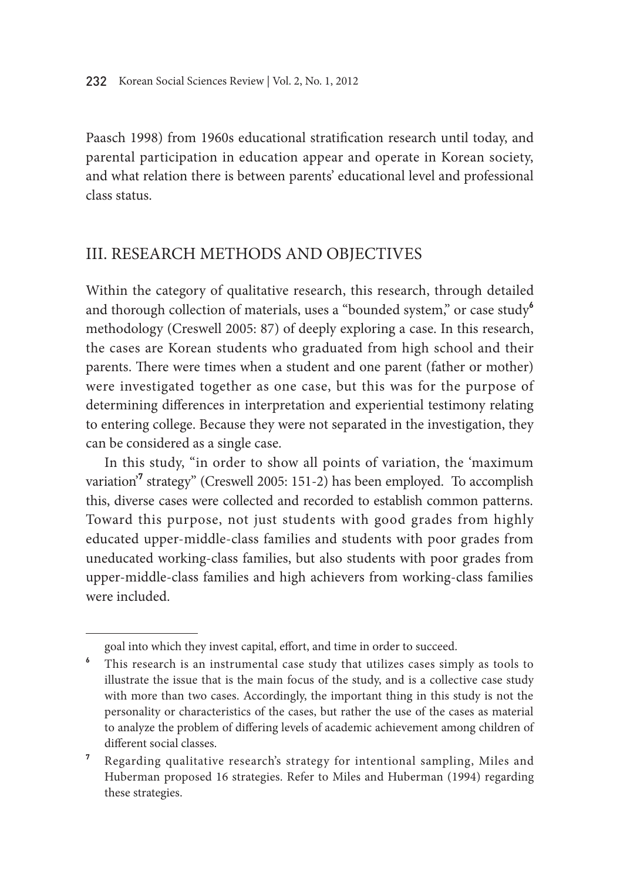Paasch 1998) from 1960s educational stratification research until today, and parental participation in education appear and operate in Korean society, and what relation there is between parents' educational level and professional class status.

### III. Research Methods and Objectives

Within the category of qualitative research, this research, through detailed and thorough collection of materials, uses a "bounded system," or case study**<sup>6</sup>** methodology (Creswell 2005: 87) of deeply exploring a case. In this research, the cases are Korean students who graduated from high school and their parents. There were times when a student and one parent (father or mother) were investigated together as one case, but this was for the purpose of determining differences in interpretation and experiential testimony relating to entering college. Because they were not separated in the investigation, they can be considered as a single case.

In this study, "in order to show all points of variation, the 'maximum variation<sup>'7</sup> strategy" (Creswell 2005: 151-2) has been employed. To accomplish this, diverse cases were collected and recorded to establish common patterns. Toward this purpose, not just students with good grades from highly educated upper-middle-class families and students with poor grades from uneducated working-class families, but also students with poor grades from upper-middle-class families and high achievers from working-class families were included.

goal into which they invest capital, effort, and time in order to succeed.

**<sup>6</sup>** This research is an instrumental case study that utilizes cases simply as tools to illustrate the issue that is the main focus of the study, and is a collective case study with more than two cases. Accordingly, the important thing in this study is not the personality or characteristics of the cases, but rather the use of the cases as material to analyze the problem of differing levels of academic achievement among children of different social classes.

**<sup>7</sup>** Regarding qualitative research's strategy for intentional sampling, Miles and Huberman proposed 16 strategies. Refer to Miles and Huberman (1994) regarding these strategies.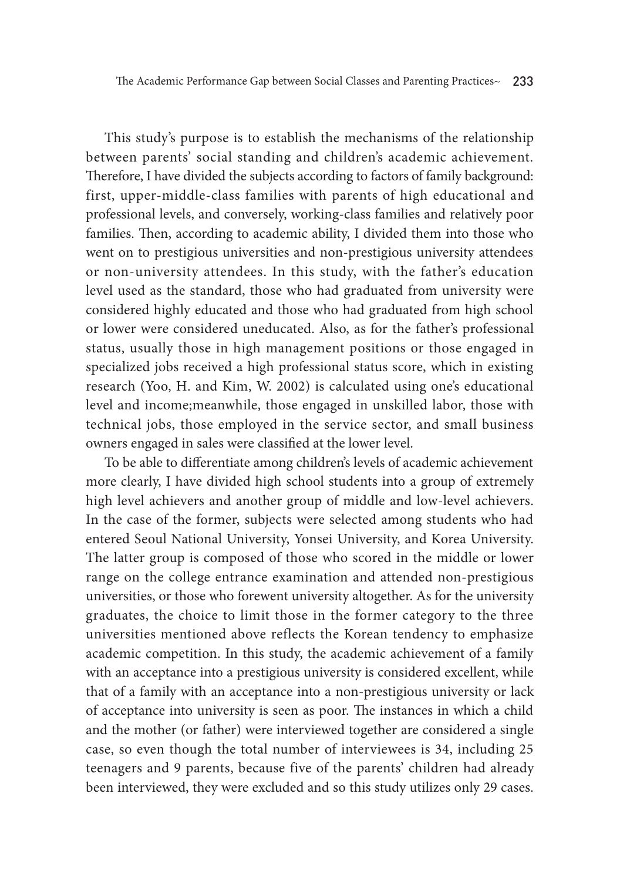This study's purpose is to establish the mechanisms of the relationship between parents' social standing and children's academic achievement. Therefore, I have divided the subjects according to factors of family background: first, upper-middle-class families with parents of high educational and professional levels, and conversely, working-class families and relatively poor families. Then, according to academic ability, I divided them into those who went on to prestigious universities and non-prestigious university attendees or non-university attendees. In this study, with the father's education level used as the standard, those who had graduated from university were considered highly educated and those who had graduated from high school or lower were considered uneducated. Also, as for the father's professional status, usually those in high management positions or those engaged in specialized jobs received a high professional status score, which in existing research (Yoo, H. and Kim, W. 2002) is calculated using one's educational level and income;meanwhile, those engaged in unskilled labor, those with technical jobs, those employed in the service sector, and small business owners engaged in sales were classified at the lower level.

To be able to differentiate among children's levels of academic achievement more clearly, I have divided high school students into a group of extremely high level achievers and another group of middle and low-level achievers. In the case of the former, subjects were selected among students who had entered Seoul National University, Yonsei University, and Korea University. The latter group is composed of those who scored in the middle or lower range on the college entrance examination and attended non-prestigious universities, or those who forewent university altogether. As for the university graduates, the choice to limit those in the former category to the three universities mentioned above reflects the Korean tendency to emphasize academic competition. In this study, the academic achievement of a family with an acceptance into a prestigious university is considered excellent, while that of a family with an acceptance into a non-prestigious university or lack of acceptance into university is seen as poor. The instances in which a child and the mother (or father) were interviewed together are considered a single case, so even though the total number of interviewees is 34, including 25 teenagers and 9 parents, because five of the parents' children had already been interviewed, they were excluded and so this study utilizes only 29 cases.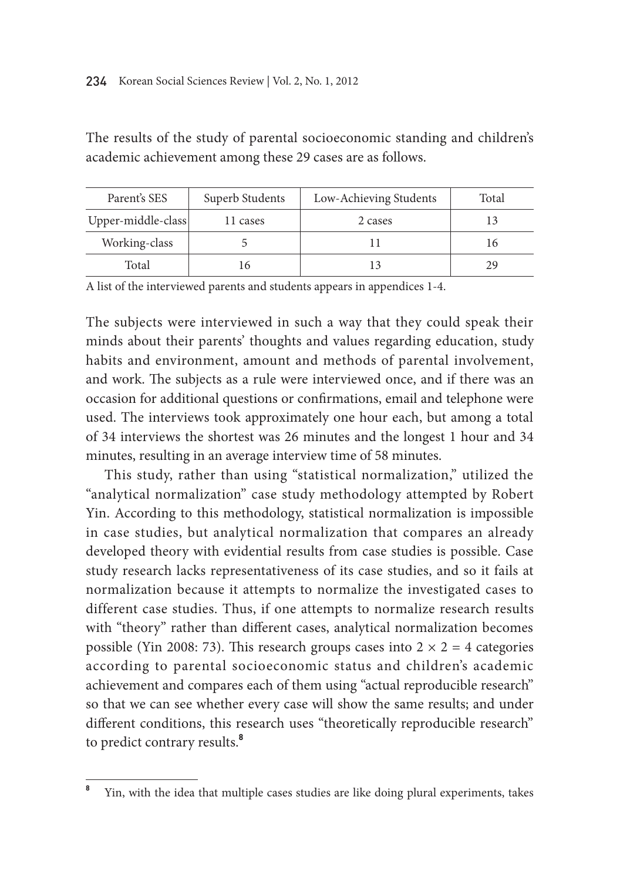| Parent's SES       | Superb Students | Low-Achieving Students | Total |
|--------------------|-----------------|------------------------|-------|
| Upper-middle-class | 11 cases        | 2 cases                |       |
| Working-class      |                 |                        | 16    |
| Total              | 16              |                        | 29    |

The results of the study of parental socioeconomic standing and children's academic achievement among these 29 cases are as follows.

A list of the interviewed parents and students appears in appendices 1-4.

The subjects were interviewed in such a way that they could speak their minds about their parents' thoughts and values regarding education, study habits and environment, amount and methods of parental involvement, and work. The subjects as a rule were interviewed once, and if there was an occasion for additional questions or confirmations, email and telephone were used. The interviews took approximately one hour each, but among a total of 34 interviews the shortest was 26 minutes and the longest 1 hour and 34 minutes, resulting in an average interview time of 58 minutes.

This study, rather than using "statistical normalization," utilized the "analytical normalization" case study methodology attempted by Robert Yin. According to this methodology, statistical normalization is impossible in case studies, but analytical normalization that compares an already developed theory with evidential results from case studies is possible. Case study research lacks representativeness of its case studies, and so it fails at normalization because it attempts to normalize the investigated cases to different case studies. Thus, if one attempts to normalize research results with "theory" rather than different cases, analytical normalization becomes possible (Yin 2008: 73). This research groups cases into  $2 \times 2 = 4$  categories according to parental socioeconomic status and children's academic achievement and compares each of them using "actual reproducible research" so that we can see whether every case will show the same results; and under different conditions, this research uses "theoretically reproducible research" to predict contrary results.**<sup>8</sup>**

**<sup>8</sup>** Yin, with the idea that multiple cases studies are like doing plural experiments, takes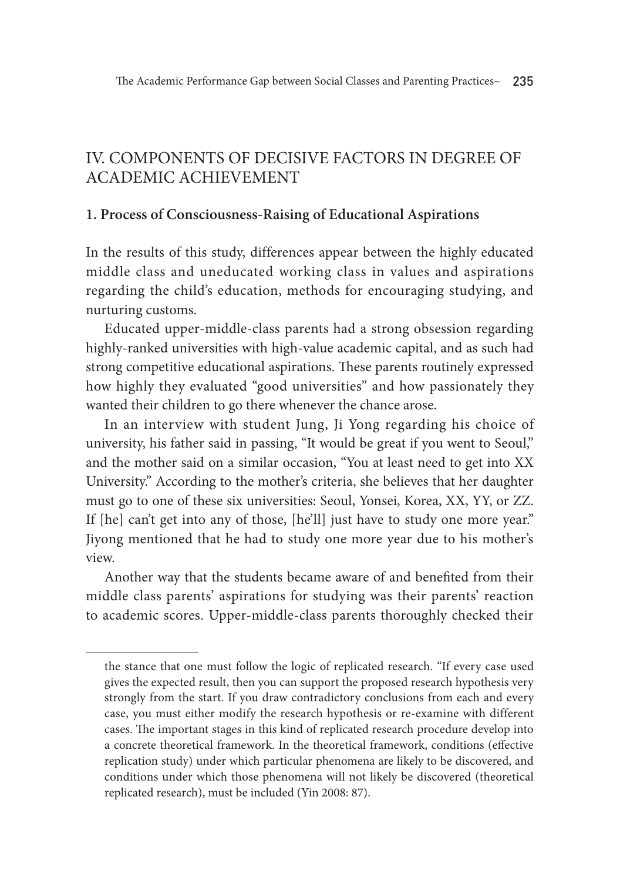## IV. Components of Decisive Factors in Degree of Academic Achievement

#### **1. Process of Consciousness-Raising of Educational Aspirations**

In the results of this study, differences appear between the highly educated middle class and uneducated working class in values and aspirations regarding the child's education, methods for encouraging studying, and nurturing customs.

Educated upper-middle-class parents had a strong obsession regarding highly-ranked universities with high-value academic capital, and as such had strong competitive educational aspirations. These parents routinely expressed how highly they evaluated "good universities" and how passionately they wanted their children to go there whenever the chance arose.

In an interview with student Jung, Ji Yong regarding his choice of university, his father said in passing, "It would be great if you went to Seoul," and the mother said on a similar occasion, "You at least need to get into XX University." According to the mother's criteria, she believes that her daughter must go to one of these six universities: Seoul, Yonsei, Korea, XX, YY, or ZZ. If [he] can't get into any of those, [he'll] just have to study one more year." Jiyong mentioned that he had to study one more year due to his mother's view.

Another way that the students became aware of and benefited from their middle class parents' aspirations for studying was their parents' reaction to academic scores. Upper-middle-class parents thoroughly checked their

the stance that one must follow the logic of replicated research. "If every case used gives the expected result, then you can support the proposed research hypothesis very strongly from the start. If you draw contradictory conclusions from each and every case, you must either modify the research hypothesis or re-examine with different cases. The important stages in this kind of replicated research procedure develop into a concrete theoretical framework. In the theoretical framework, conditions (effective replication study) under which particular phenomena are likely to be discovered, and conditions under which those phenomena will not likely be discovered (theoretical replicated research), must be included (Yin 2008: 87).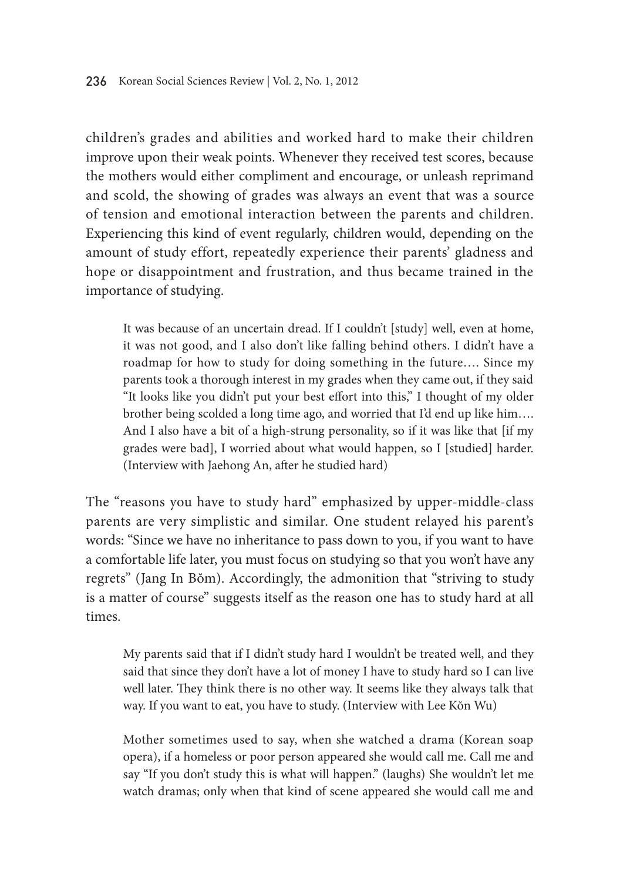children's grades and abilities and worked hard to make their children improve upon their weak points. Whenever they received test scores, because the mothers would either compliment and encourage, or unleash reprimand and scold, the showing of grades was always an event that was a source of tension and emotional interaction between the parents and children. Experiencing this kind of event regularly, children would, depending on the amount of study effort, repeatedly experience their parents' gladness and hope or disappointment and frustration, and thus became trained in the importance of studying.

It was because of an uncertain dread. If I couldn't [study] well, even at home, it was not good, and I also don't like falling behind others. I didn't have a roadmap for how to study for doing something in the future…. Since my parents took a thorough interest in my grades when they came out, if they said "It looks like you didn't put your best effort into this," I thought of my older brother being scolded a long time ago, and worried that I'd end up like him…. And I also have a bit of a high-strung personality, so if it was like that [if my grades were bad], I worried about what would happen, so I [studied] harder. (Interview with Jaehong An, after he studied hard)

The "reasons you have to study hard" emphasized by upper-middle-class parents are very simplistic and similar. One student relayed his parent's words: "Since we have no inheritance to pass down to you, if you want to have a comfortable life later, you must focus on studying so that you won't have any regrets" (Jang In Bŏm). Accordingly, the admonition that "striving to study is a matter of course" suggests itself as the reason one has to study hard at all times.

My parents said that if I didn't study hard I wouldn't be treated well, and they said that since they don't have a lot of money I have to study hard so I can live well later. They think there is no other way. It seems like they always talk that way. If you want to eat, you have to study. (Interview with Lee Kŏn Wu)

Mother sometimes used to say, when she watched a drama (Korean soap opera), if a homeless or poor person appeared she would call me. Call me and say "If you don't study this is what will happen." (laughs) She wouldn't let me watch dramas; only when that kind of scene appeared she would call me and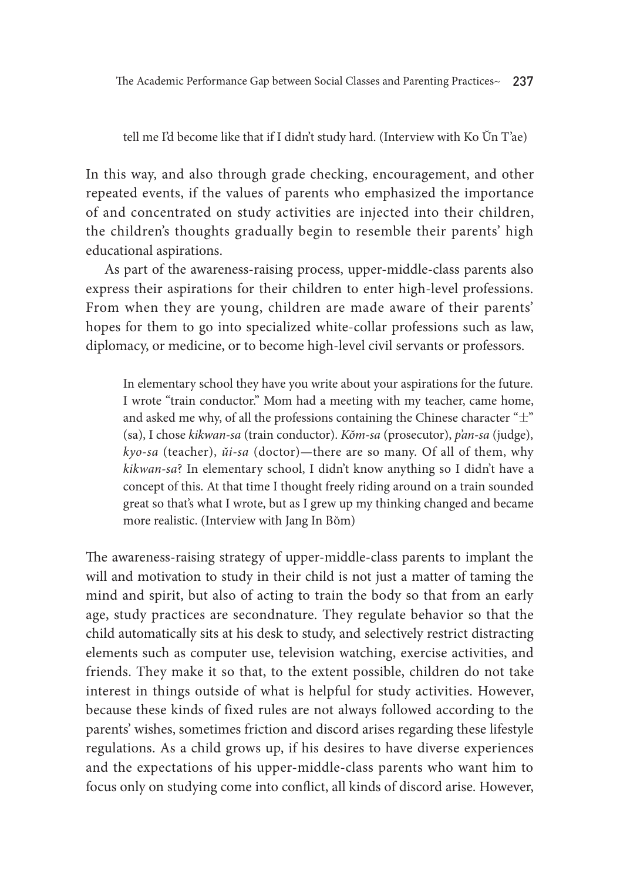tell me I'd become like that if I didn't study hard. (Interview with Ko Ŭn T'ae)

In this way, and also through grade checking, encouragement, and other repeated events, if the values of parents who emphasized the importance of and concentrated on study activities are injected into their children, the children's thoughts gradually begin to resemble their parents' high educational aspirations.

As part of the awareness-raising process, upper-middle-class parents also express their aspirations for their children to enter high-level professions. From when they are young, children are made aware of their parents' hopes for them to go into specialized white-collar professions such as law, diplomacy, or medicine, or to become high-level civil servants or professors.

In elementary school they have you write about your aspirations for the future. I wrote "train conductor." Mom had a meeting with my teacher, came home, and asked me why, of all the professions containing the Chinese character " $\pm$ " (sa), I chose *kikwan-sa* (train conductor). *Kŏm-sa* (prosecutor), *p'an-sa* (judge), *kyo-sa* (teacher), *ŭi-sa* (doctor)—there are so many. Of all of them, why *kikwan-sa*? In elementary school, I didn't know anything so I didn't have a concept of this. At that time I thought freely riding around on a train sounded great so that's what I wrote, but as I grew up my thinking changed and became more realistic. (Interview with Jang In Bŏm)

The awareness-raising strategy of upper-middle-class parents to implant the will and motivation to study in their child is not just a matter of taming the mind and spirit, but also of acting to train the body so that from an early age, study practices are secondnature. They regulate behavior so that the child automatically sits at his desk to study, and selectively restrict distracting elements such as computer use, television watching, exercise activities, and friends. They make it so that, to the extent possible, children do not take interest in things outside of what is helpful for study activities. However, because these kinds of fixed rules are not always followed according to the parents' wishes, sometimes friction and discord arises regarding these lifestyle regulations. As a child grows up, if his desires to have diverse experiences and the expectations of his upper-middle-class parents who want him to focus only on studying come into conflict, all kinds of discord arise. However,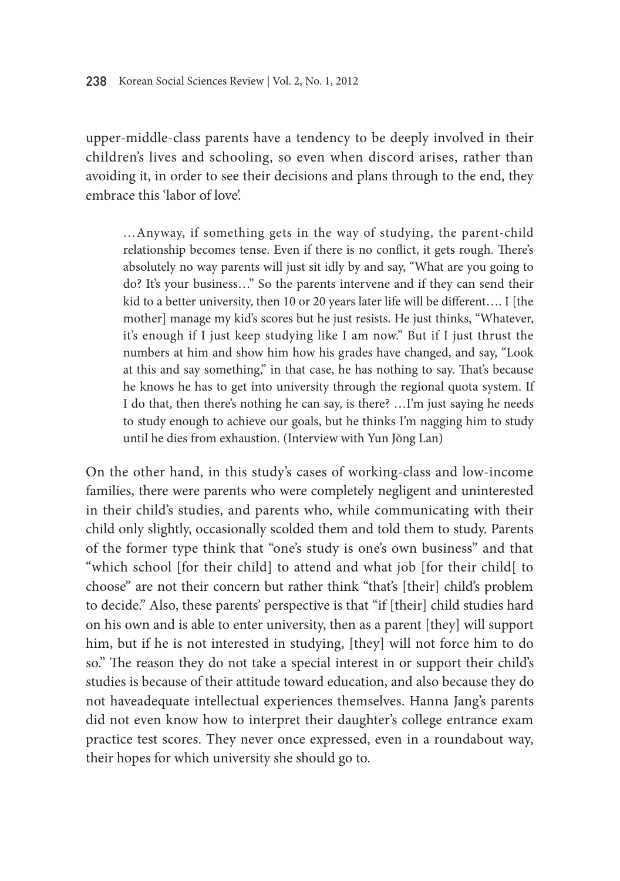upper-middle-class parents have a tendency to be deeply involved in their children's lives and schooling, so even when discord arises, rather than avoiding it, in order to see their decisions and plans through to the end, they embrace this 'labor of love'.

…Anyway, if something gets in the way of studying, the parent-child relationship becomes tense. Even if there is no conflict, it gets rough. There's absolutely no way parents will just sit idly by and say, "What are you going to do? It's your business…" So the parents intervene and if they can send their kid to a better university, then 10 or 20 years later life will be different.... I [the mother] manage my kid's scores but he just resists. He just thinks, "Whatever, it's enough if I just keep studying like I am now." But if I just thrust the numbers at him and show him how his grades have changed, and say, "Look at this and say something," in that case, he has nothing to say. That's because he knows he has to get into university through the regional quota system. If I do that, then there's nothing he can say, is there? …I'm just saying he needs to study enough to achieve our goals, but he thinks I'm nagging him to study until he dies from exhaustion. (Interview with Yun Jŏng Lan)

On the other hand, in this study's cases of working-class and low-income families, there were parents who were completely negligent and uninterested in their child's studies, and parents who, while communicating with their child only slightly, occasionally scolded them and told them to study. Parents of the former type think that "one's study is one's own business" and that "which school [for their child] to attend and what job [for their child[ to choose" are not their concern but rather think "that's [their] child's problem to decide." Also, these parents' perspective is that "if [their] child studies hard on his own and is able to enter university, then as a parent [they] will support him, but if he is not interested in studying, [they] will not force him to do so." The reason they do not take a special interest in or support their child's studies is because of their attitude toward education, and also because they do not haveadequate intellectual experiences themselves. Hanna Jang's parents did not even know how to interpret their daughter's college entrance exam practice test scores. They never once expressed, even in a roundabout way, their hopes for which university she should go to.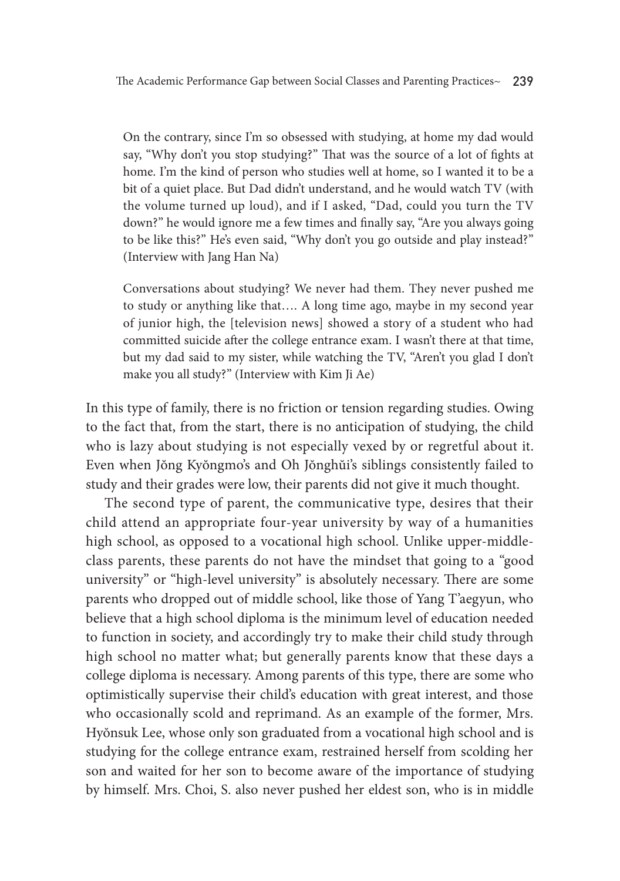On the contrary, since I'm so obsessed with studying, at home my dad would say, "Why don't you stop studying?" That was the source of a lot of fights at home. I'm the kind of person who studies well at home, so I wanted it to be a bit of a quiet place. But Dad didn't understand, and he would watch TV (with the volume turned up loud), and if I asked, "Dad, could you turn the TV down?" he would ignore me a few times and finally say, "Are you always going to be like this?" He's even said, "Why don't you go outside and play instead?" (Interview with Jang Han Na)

Conversations about studying? We never had them. They never pushed me to study or anything like that…. A long time ago, maybe in my second year of junior high, the [television news] showed a story of a student who had committed suicide after the college entrance exam. I wasn't there at that time, but my dad said to my sister, while watching the TV, "Aren't you glad I don't make you all study?" (Interview with Kim Ji Ae)

In this type of family, there is no friction or tension regarding studies. Owing to the fact that, from the start, there is no anticipation of studying, the child who is lazy about studying is not especially vexed by or regretful about it. Even when Jŏng Kyŏngmo's and Oh Jŏnghŭi's siblings consistently failed to study and their grades were low, their parents did not give it much thought.

The second type of parent, the communicative type, desires that their child attend an appropriate four-year university by way of a humanities high school, as opposed to a vocational high school. Unlike upper-middleclass parents, these parents do not have the mindset that going to a "good university" or "high-level university" is absolutely necessary. There are some parents who dropped out of middle school, like those of Yang T'aegyun, who believe that a high school diploma is the minimum level of education needed to function in society, and accordingly try to make their child study through high school no matter what; but generally parents know that these days a college diploma is necessary. Among parents of this type, there are some who optimistically supervise their child's education with great interest, and those who occasionally scold and reprimand. As an example of the former, Mrs. Hyŏnsuk Lee, whose only son graduated from a vocational high school and is studying for the college entrance exam, restrained herself from scolding her son and waited for her son to become aware of the importance of studying by himself. Mrs. Choi, S. also never pushed her eldest son, who is in middle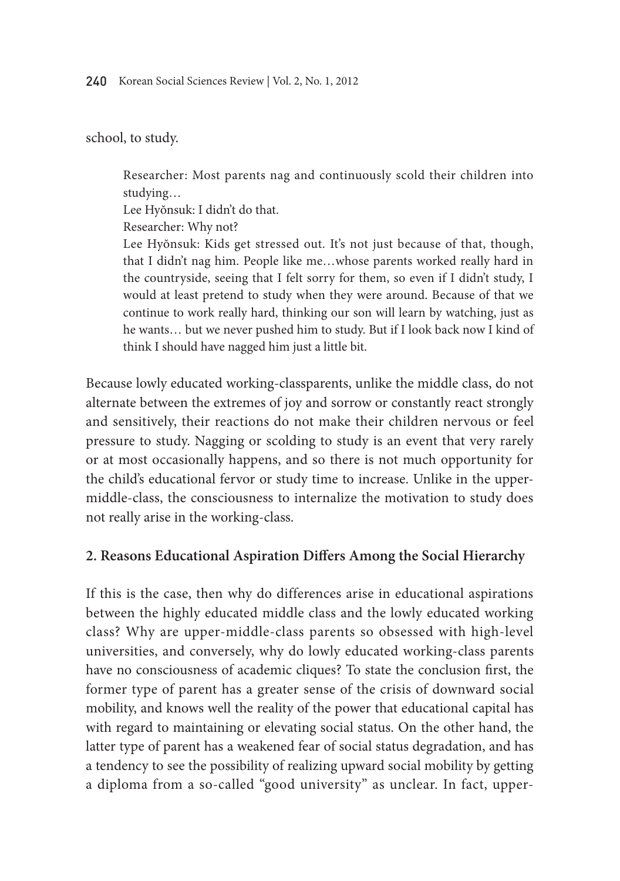school, to study.

Researcher: Most parents nag and continuously scold their children into studying…

Lee Hyŏnsuk: I didn't do that.

Researcher: Why not?

Lee Hyŏnsuk: Kids get stressed out. It's not just because of that, though, that I didn't nag him. People like me…whose parents worked really hard in the countryside, seeing that I felt sorry for them, so even if I didn't study, I would at least pretend to study when they were around. Because of that we continue to work really hard, thinking our son will learn by watching, just as he wants… but we never pushed him to study. But if I look back now I kind of think I should have nagged him just a little bit.

Because lowly educated working-classparents, unlike the middle class, do not alternate between the extremes of joy and sorrow or constantly react strongly and sensitively, their reactions do not make their children nervous or feel pressure to study. Nagging or scolding to study is an event that very rarely or at most occasionally happens, and so there is not much opportunity for the child's educational fervor or study time to increase. Unlike in the uppermiddle-class, the consciousness to internalize the motivation to study does not really arise in the working-class.

#### **2. Reasons Educational Aspiration Differs Among the Social Hierarchy**

If this is the case, then why do differences arise in educational aspirations between the highly educated middle class and the lowly educated working class? Why are upper-middle-class parents so obsessed with high-level universities, and conversely, why do lowly educated working-class parents have no consciousness of academic cliques? To state the conclusion first, the former type of parent has a greater sense of the crisis of downward social mobility, and knows well the reality of the power that educational capital has with regard to maintaining or elevating social status. On the other hand, the latter type of parent has a weakened fear of social status degradation, and has a tendency to see the possibility of realizing upward social mobility by getting a diploma from a so-called "good university" as unclear. In fact, upper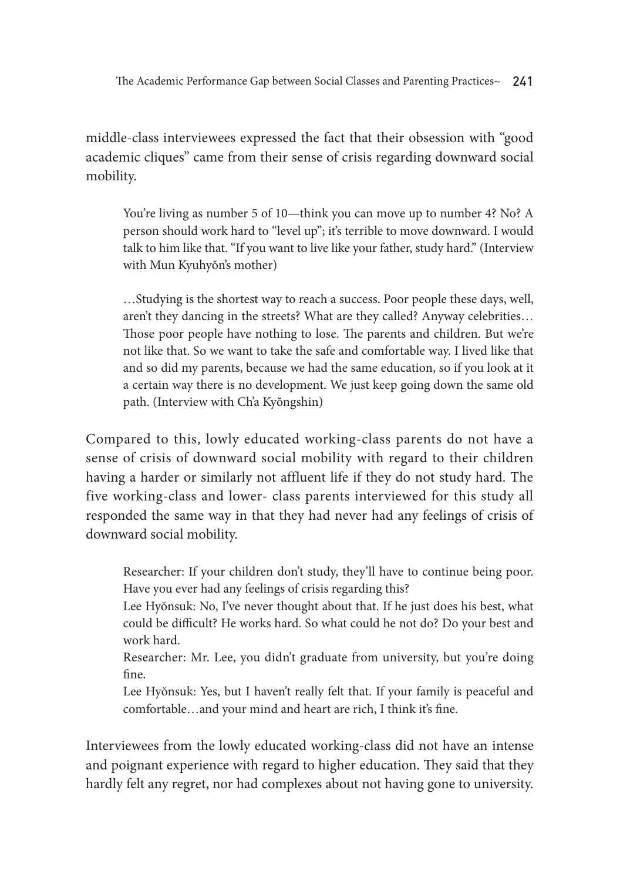The Academic Performance Gap between Social Classes and Parenting Practices~ 241

middle-class interviewees expressed the fact that their obsession with "good academic cliques" came from their sense of crisis regarding downward social mobility.

You're living as number 5 of 10—think you can move up to number 4? No? A person should work hard to "level up"; it's terrible to move downward. I would talk to him like that. "If you want to live like your father, study hard." (Interview with Mun Kyuhyŏn's mother)

…Studying is the shortest way to reach a success. Poor people these days, well, aren't they dancing in the streets? What are they called? Anyway celebrities… Those poor people have nothing to lose. The parents and children. But we're not like that. So we want to take the safe and comfortable way. I lived like that and so did my parents, because we had the same education, so if you look at it a certain way there is no development. We just keep going down the same old path. (Interview with Ch'a Kyŏngshin)

Compared to this, lowly educated working-class parents do not have a sense of crisis of downward social mobility with regard to their children having a harder or similarly not affluent life if they do not study hard. The five working-class and lower- class parents interviewed for this study all responded the same way in that they had never had any feelings of crisis of downward social mobility.

Researcher: If your children don't study, they'll have to continue being poor. Have you ever had any feelings of crisis regarding this?

Lee Hyŏnsuk: No, I've never thought about that. If he just does his best, what could be difficult? He works hard. So what could he not do? Do your best and work hard.

Researcher: Mr. Lee, you didn't graduate from university, but you're doing fine.

Lee Hyŏnsuk: Yes, but I haven't really felt that. If your family is peaceful and comfortable…and your mind and heart are rich, I think it's fine.

Interviewees from the lowly educated working-class did not have an intense and poignant experience with regard to higher education. They said that they hardly felt any regret, nor had complexes about not having gone to university.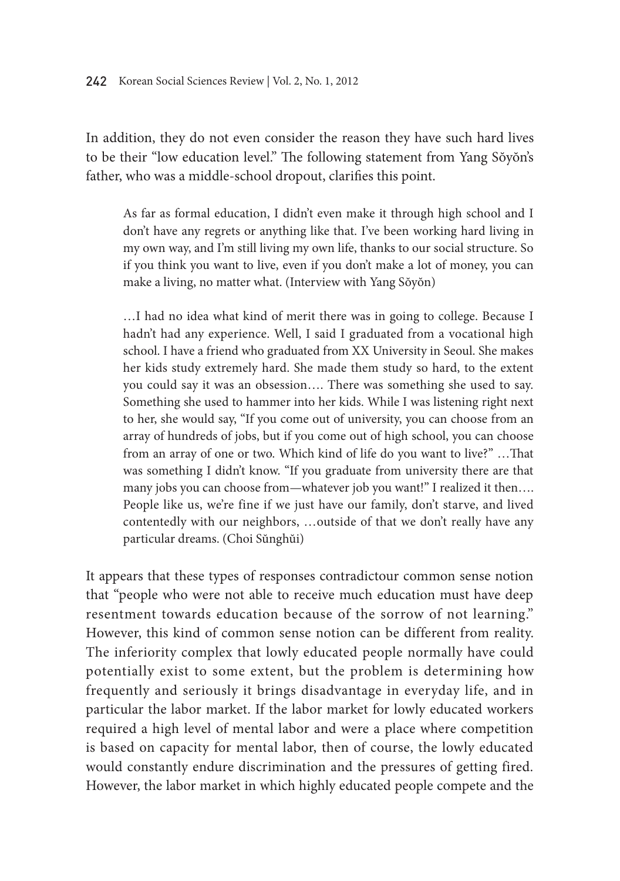In addition, they do not even consider the reason they have such hard lives to be their "low education level." The following statement from Yang Sŏyŏn's father, who was a middle-school dropout, clarifies this point.

As far as formal education, I didn't even make it through high school and I don't have any regrets or anything like that. I've been working hard living in my own way, and I'm still living my own life, thanks to our social structure. So if you think you want to live, even if you don't make a lot of money, you can make a living, no matter what. (Interview with Yang Sŏyŏn)

…I had no idea what kind of merit there was in going to college. Because I hadn't had any experience. Well, I said I graduated from a vocational high school. I have a friend who graduated from XX University in Seoul. She makes her kids study extremely hard. She made them study so hard, to the extent you could say it was an obsession…. There was something she used to say. Something she used to hammer into her kids. While I was listening right next to her, she would say, "If you come out of university, you can choose from an array of hundreds of jobs, but if you come out of high school, you can choose from an array of one or two. Which kind of life do you want to live?" …That was something I didn't know. "If you graduate from university there are that many jobs you can choose from—whatever job you want!" I realized it then…. People like us, we're fine if we just have our family, don't starve, and lived contentedly with our neighbors, …outside of that we don't really have any particular dreams. (Choi Sŭnghŭi)

It appears that these types of responses contradictour common sense notion that "people who were not able to receive much education must have deep resentment towards education because of the sorrow of not learning." However, this kind of common sense notion can be different from reality. The inferiority complex that lowly educated people normally have could potentially exist to some extent, but the problem is determining how frequently and seriously it brings disadvantage in everyday life, and in particular the labor market. If the labor market for lowly educated workers required a high level of mental labor and were a place where competition is based on capacity for mental labor, then of course, the lowly educated would constantly endure discrimination and the pressures of getting fired. However, the labor market in which highly educated people compete and the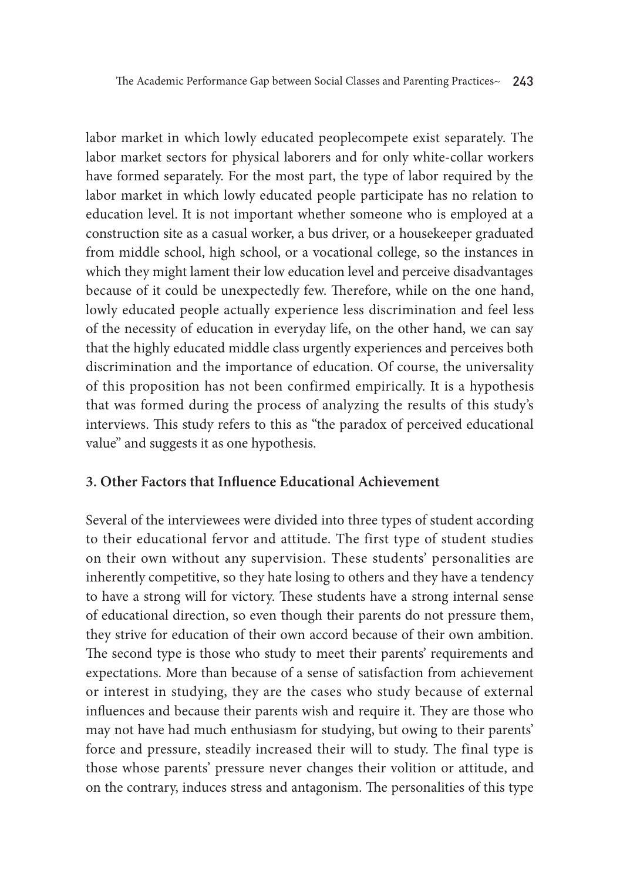labor market in which lowly educated peoplecompete exist separately. The labor market sectors for physical laborers and for only white-collar workers have formed separately. For the most part, the type of labor required by the labor market in which lowly educated people participate has no relation to education level. It is not important whether someone who is employed at a construction site as a casual worker, a bus driver, or a housekeeper graduated from middle school, high school, or a vocational college, so the instances in which they might lament their low education level and perceive disadvantages because of it could be unexpectedly few. Therefore, while on the one hand, lowly educated people actually experience less discrimination and feel less of the necessity of education in everyday life, on the other hand, we can say that the highly educated middle class urgently experiences and perceives both discrimination and the importance of education. Of course, the universality of this proposition has not been confirmed empirically. It is a hypothesis that was formed during the process of analyzing the results of this study's interviews. This study refers to this as "the paradox of perceived educational value" and suggests it as one hypothesis.

### **3. Other Factors that Influence Educational Achievement**

Several of the interviewees were divided into three types of student according to their educational fervor and attitude. The first type of student studies on their own without any supervision. These students' personalities are inherently competitive, so they hate losing to others and they have a tendency to have a strong will for victory. These students have a strong internal sense of educational direction, so even though their parents do not pressure them, they strive for education of their own accord because of their own ambition. The second type is those who study to meet their parents' requirements and expectations. More than because of a sense of satisfaction from achievement or interest in studying, they are the cases who study because of external influences and because their parents wish and require it. They are those who may not have had much enthusiasm for studying, but owing to their parents' force and pressure, steadily increased their will to study. The final type is those whose parents' pressure never changes their volition or attitude, and on the contrary, induces stress and antagonism. The personalities of this type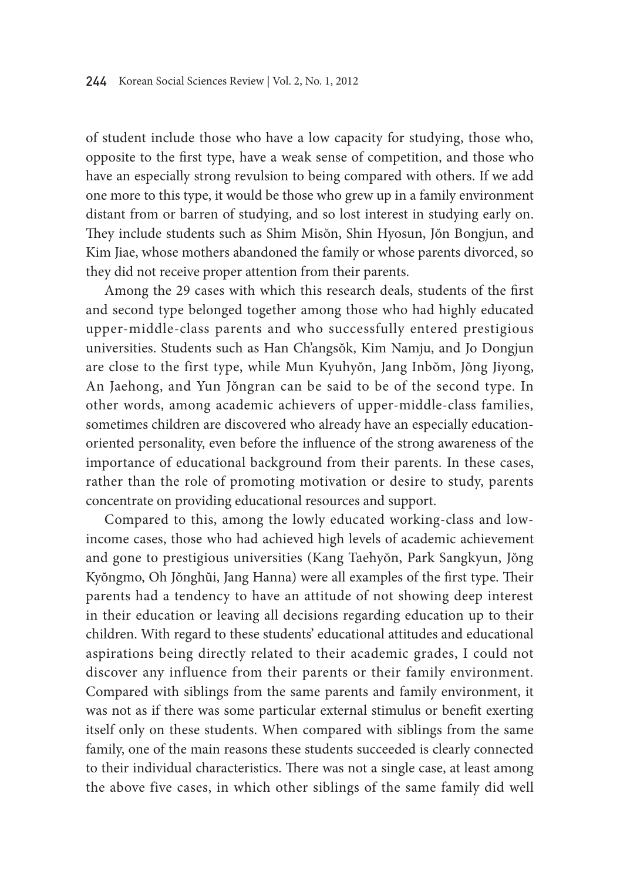of student include those who have a low capacity for studying, those who, opposite to the first type, have a weak sense of competition, and those who have an especially strong revulsion to being compared with others. If we add one more to this type, it would be those who grew up in a family environment distant from or barren of studying, and so lost interest in studying early on. They include students such as Shim Misŏn, Shin Hyosun, Jŏn Bongjun, and Kim Jiae, whose mothers abandoned the family or whose parents divorced, so they did not receive proper attention from their parents.

Among the 29 cases with which this research deals, students of the first and second type belonged together among those who had highly educated upper-middle-class parents and who successfully entered prestigious universities. Students such as Han Ch'angsŏk, Kim Namju, and Jo Dongjun are close to the first type, while Mun Kyuhyŏn, Jang Inbŏm, Jŏng Jiyong, An Jaehong, and Yun Jŏngran can be said to be of the second type. In other words, among academic achievers of upper-middle-class families, sometimes children are discovered who already have an especially educationoriented personality, even before the influence of the strong awareness of the importance of educational background from their parents. In these cases, rather than the role of promoting motivation or desire to study, parents concentrate on providing educational resources and support.

Compared to this, among the lowly educated working-class and lowincome cases, those who had achieved high levels of academic achievement and gone to prestigious universities (Kang Taehyŏn, Park Sangkyun, Jŏng Kyŏngmo, Oh Jŏnghŭi, Jang Hanna) were all examples of the first type. Their parents had a tendency to have an attitude of not showing deep interest in their education or leaving all decisions regarding education up to their children. With regard to these students' educational attitudes and educational aspirations being directly related to their academic grades, I could not discover any influence from their parents or their family environment. Compared with siblings from the same parents and family environment, it was not as if there was some particular external stimulus or benefit exerting itself only on these students. When compared with siblings from the same family, one of the main reasons these students succeeded is clearly connected to their individual characteristics. There was not a single case, at least among the above five cases, in which other siblings of the same family did well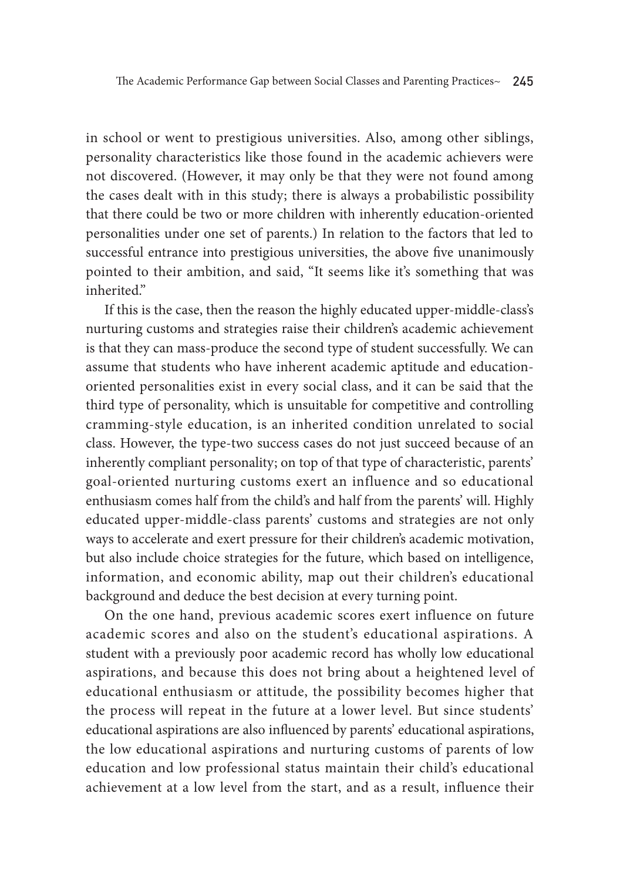in school or went to prestigious universities. Also, among other siblings, personality characteristics like those found in the academic achievers were not discovered. (However, it may only be that they were not found among the cases dealt with in this study; there is always a probabilistic possibility that there could be two or more children with inherently education-oriented personalities under one set of parents.) In relation to the factors that led to successful entrance into prestigious universities, the above five unanimously pointed to their ambition, and said, "It seems like it's something that was inherited."

If this is the case, then the reason the highly educated upper-middle-class's nurturing customs and strategies raise their children's academic achievement is that they can mass-produce the second type of student successfully. We can assume that students who have inherent academic aptitude and educationoriented personalities exist in every social class, and it can be said that the third type of personality, which is unsuitable for competitive and controlling cramming-style education, is an inherited condition unrelated to social class. However, the type-two success cases do not just succeed because of an inherently compliant personality; on top of that type of characteristic, parents' goal-oriented nurturing customs exert an influence and so educational enthusiasm comes half from the child's and half from the parents' will. Highly educated upper-middle-class parents' customs and strategies are not only ways to accelerate and exert pressure for their children's academic motivation, but also include choice strategies for the future, which based on intelligence, information, and economic ability, map out their children's educational background and deduce the best decision at every turning point.

On the one hand, previous academic scores exert influence on future academic scores and also on the student's educational aspirations. A student with a previously poor academic record has wholly low educational aspirations, and because this does not bring about a heightened level of educational enthusiasm or attitude, the possibility becomes higher that the process will repeat in the future at a lower level. But since students' educational aspirations are also influenced by parents' educational aspirations, the low educational aspirations and nurturing customs of parents of low education and low professional status maintain their child's educational achievement at a low level from the start, and as a result, influence their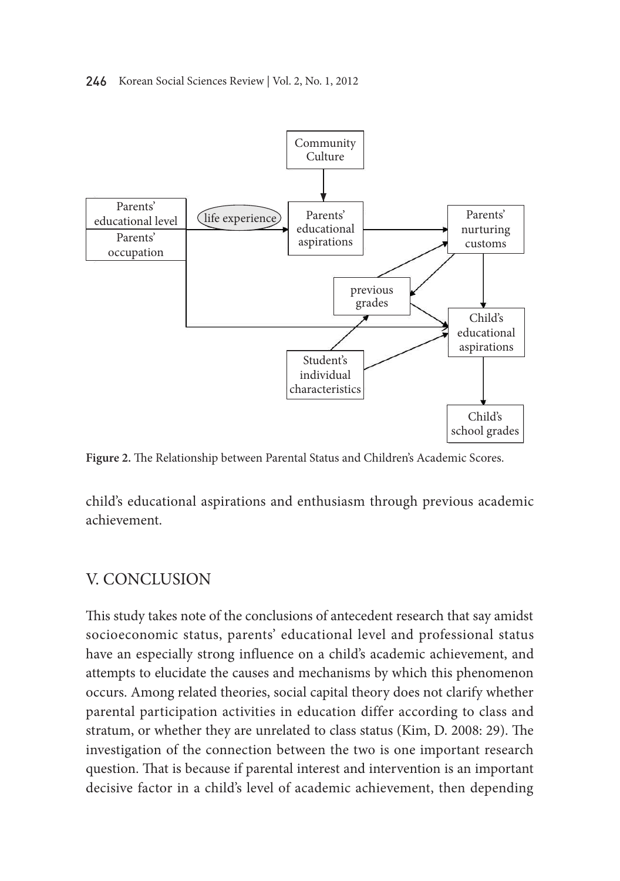#### 246 Korean Social Sciences Review | Vol. 2, No. 1, 2012



**Figure 2.** The Relationship between Parental Status and Children's Academic Scores.

child's educational aspirations and enthusiasm through previous academic achievement.

#### V. Conclusion  $\frac{1}{2}$ +\_^ƁVƠşķgò¬TIJfÁ,Ì}yýµ´S·ą

This study takes note of the conclusions of antecedent research that say amidst socioeconomic status, parents' educational level and professional status have an especially strong influence on a child's academic achievement, and attempts to elucidate the causes and mechanisms by which this phenomenon occurs. Among related theories, social capital theory does not clarify whether parental participation activities in education differ according to class and stratum, or whether they are unrelated to class status (Kim, D. 2008: 29). The investigation of the connection between the two is one important research question. That is because if parental interest and intervention is an important question. decisive factor in a child's level of academic achievement, then depending afÊË«ŔgÂôÉńËSƉ͛©Ĉ\_fɀøgĽ·͎T>S]Ĉ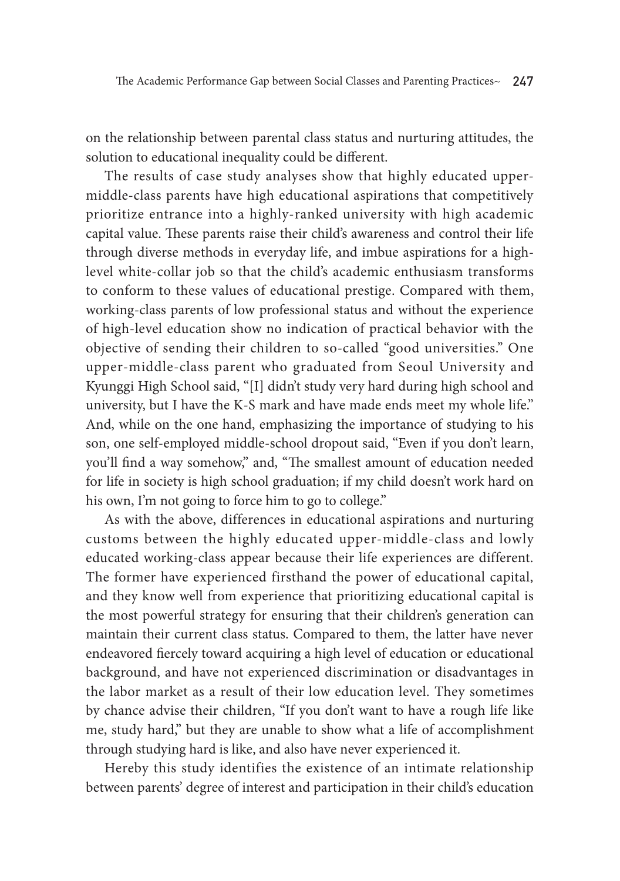on the relationship between parental class status and nurturing attitudes, the solution to educational inequality could be different.

The results of case study analyses show that highly educated uppermiddle-class parents have high educational aspirations that competitively prioritize entrance into a highly-ranked university with high academic capital value. These parents raise their child's awareness and control their life through diverse methods in everyday life, and imbue aspirations for a highlevel white-collar job so that the child's academic enthusiasm transforms to conform to these values of educational prestige. Compared with them, working-class parents of low professional status and without the experience of high-level education show no indication of practical behavior with the objective of sending their children to so-called "good universities." One upper-middle-class parent who graduated from Seoul University and Kyunggi High School said, "[I] didn't study very hard during high school and university, but I have the K-S mark and have made ends meet my whole life." And, while on the one hand, emphasizing the importance of studying to his son, one self-employed middle-school dropout said, "Even if you don't learn, you'll find a way somehow," and, "The smallest amount of education needed for life in society is high school graduation; if my child doesn't work hard on his own, I'm not going to force him to go to college."

As with the above, differences in educational aspirations and nurturing customs between the highly educated upper-middle-class and lowly educated working-class appear because their life experiences are different. The former have experienced firsthand the power of educational capital, and they know well from experience that prioritizing educational capital is the most powerful strategy for ensuring that their children's generation can maintain their current class status. Compared to them, the latter have never endeavored fiercely toward acquiring a high level of education or educational background, and have not experienced discrimination or disadvantages in the labor market as a result of their low education level. They sometimes by chance advise their children, "If you don't want to have a rough life like me, study hard," but they are unable to show what a life of accomplishment through studying hard is like, and also have never experienced it.

Hereby this study identifies the existence of an intimate relationship between parents' degree of interest and participation in their child's education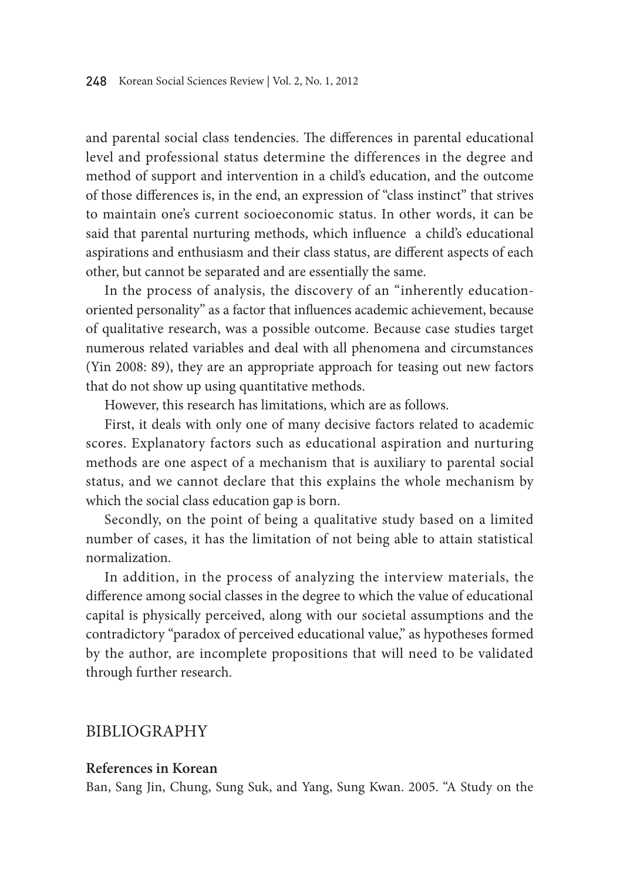and parental social class tendencies. The differences in parental educational level and professional status determine the differences in the degree and method of support and intervention in a child's education, and the outcome of those differences is, in the end, an expression of "class instinct" that strives to maintain one's current socioeconomic status. In other words, it can be said that parental nurturing methods, which influence a child's educational aspirations and enthusiasm and their class status, are different aspects of each other, but cannot be separated and are essentially the same.

In the process of analysis, the discovery of an "inherently educationoriented personality" as a factor that influences academic achievement, because of qualitative research, was a possible outcome. Because case studies target numerous related variables and deal with all phenomena and circumstances (Yin 2008: 89), they are an appropriate approach for teasing out new factors that do not show up using quantitative methods.

However, this research has limitations, which are as follows.

First, it deals with only one of many decisive factors related to academic scores. Explanatory factors such as educational aspiration and nurturing methods are one aspect of a mechanism that is auxiliary to parental social status, and we cannot declare that this explains the whole mechanism by which the social class education gap is born.

Secondly, on the point of being a qualitative study based on a limited number of cases, it has the limitation of not being able to attain statistical normalization.

In addition, in the process of analyzing the interview materials, the difference among social classes in the degree to which the value of educational capital is physically perceived, along with our societal assumptions and the contradictory "paradox of perceived educational value," as hypotheses formed by the author, are incomplete propositions that will need to be validated through further research.

#### BIBLIOGRAPHY

#### **References in Korean**

Ban, Sang Jin, Chung, Sung Suk, and Yang, Sung Kwan. 2005. "A Study on the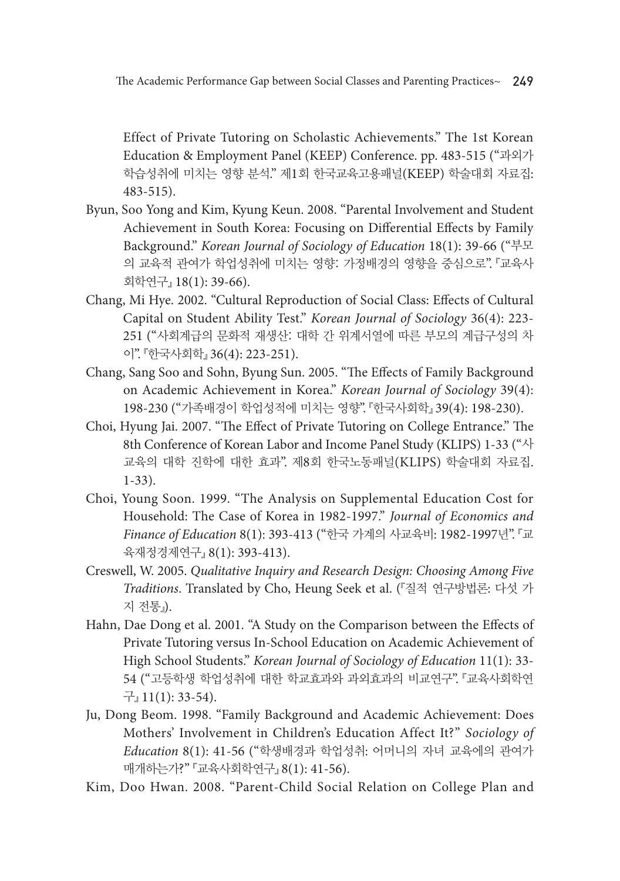Effect of Private Tutoring on Scholastic Achievements." The 1st Korean Education & Employment Panel (KEEP) Conference. pp. 483-515 ("과외가 학습성취에 미치는 영향 분석." 제1회 한국교육고용패널(KEEP) 학술대회 자료집: 483-515).

- Byun, Soo Yong and Kim, Kyung Keun. 2008. "Parental Involvement and Student Achievement in South Korea: Focusing on Differential Effects by Family Background." *Korean Journal of Sociology of Education* 18(1): 39-66 ("부모 의 교육적 관여가 학업성취에 미치는 영향: 가정배경의 영향을 중심으로". 『교육사 회학연구』 18(1): 39-66).
- Chang, Mi Hye. 2002. "Cultural Reproduction of Social Class: Effects of Cultural Capital on Student Ability Test." *Korean Journal of Sociology* 36(4): 223- 251 ("사회계급의 문화적 재생산: 대학 간 위계서열에 따른 부모의 계급구성의 차 이". 『한국사회학』 36(4): 223-251).
- Chang, Sang Soo and Sohn, Byung Sun. 2005. "The Effects of Family Background on Academic Achievement in Korea." *Korean Journal of Sociology* 39(4): 198-230 ("가족배경이 학업성적에 미치는 영향". 『한국사회학』 39(4): 198-230).
- Choi, Hyung Jai. 2007. "The Effect of Private Tutoring on College Entrance." The 8th Conference of Korean Labor and Income Panel Study (KLIPS) 1-33 ("사 교육의 대학 진학에 대한 효과". 제8회 한국노동패널(KLIPS) 학술대회 자료집. 1-33).
- Choi, Young Soon. 1999. "The Analysis on Supplemental Education Cost for Household: The Case of Korea in 1982-1997." *Journal of Economics and Finance of Education* 8(1): 393-413 ("한국 가계의 사교육비: 1982-1997년". 『교 육재정경제연구』 8(1): 393-413).
- Creswell, W. 2005. *Qualitative Inquiry and Research Design: Choosing Among Five Traditions*. Translated by Cho, Heung Seek et al. (『질적 연구방법론: 다섯 가 지 전통』).
- Hahn, Dae Dong et al. 2001. "A Study on the Comparison between the Effects of Private Tutoring versus In-School Education on Academic Achievement of High School Students." *Korean Journal of Sociology of Education* 11(1): 33- 54 ("고등학생 학업성취에 대한 학교효과와 과외효과의 비교연구". 『교육사회학연 구』 11(1): 33-54).
- Ju, Dong Beom. 1998. "Family Background and Academic Achievement: Does Mothers' Involvement in Children's Education Affect It?" *Sociology of Education* 8(1): 41-56 ("학생배경과 학업성취: 어머니의 자녀 교육에의 관여가 매개하는가?" 『교육사회학연구』 8(1): 41-56).
- Kim, Doo Hwan. 2008. "Parent-Child Social Relation on College Plan and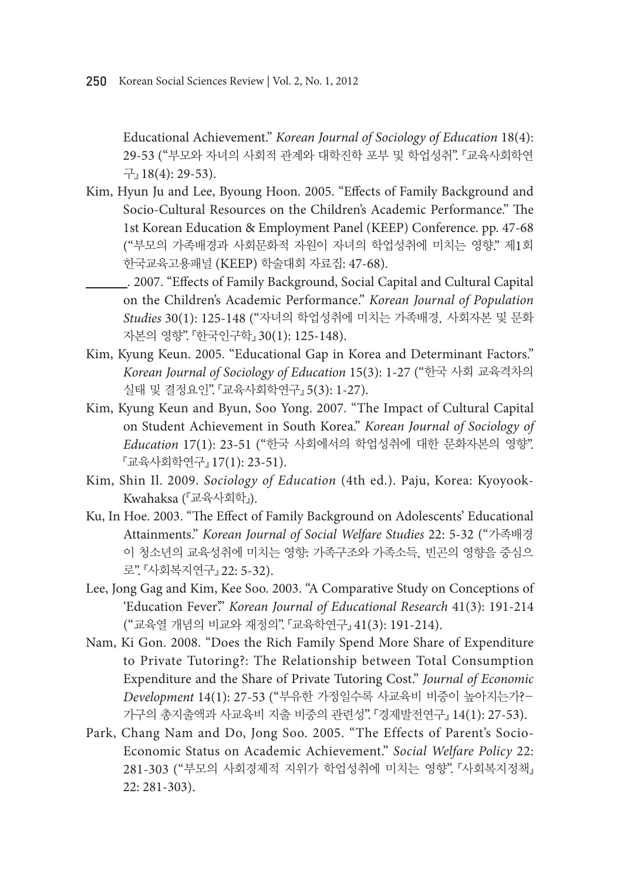Educational Achievement." *Korean Journal of Sociology of Education* 18(4): 29-53 ("부모와 자녀의 사회적 관계와 대학진학 포부 및 학업성취". 『교육사회학연 구』 18(4): 29-53).

- Kim, Hyun Ju and Lee, Byoung Hoon. 2005. "Effects of Family Background and Socio-Cultural Resources on the Children's Academic Performance." The 1st Korean Education & Employment Panel (KEEP) Conference. pp. 47-68 ("부모의 가족배경과 사회문화적 자원이 자녀의 학업성취에 미치는 영향." 제1회 한국교육고용패널 (KEEP) 학술대회 자료집: 47-68).
	- . 2007. "Effects of Family Background, Social Capital and Cultural Capital on the Children's Academic Performance." *Korean Journal of Population Studies* 30(1): 125-148 ("자녀의 학업성취에 미치는 가족배경, 사회자본 및 문화 자본의 영향". 『한국인구학』 30(1): 125-148).
- Kim, Kyung Keun. 2005. "Educational Gap in Korea and Determinant Factors." *Korean Journal of Sociology of Education* 15(3): 1-27 ("한국 사회 교육격차의 실태 및 결정요인". 『교육사회학연구』 5(3): 1-27).
- Kim, Kyung Keun and Byun, Soo Yong. 2007. "The Impact of Cultural Capital on Student Achievement in South Korea." *Korean Journal of Sociology of Education* 17(1): 23-51 ("한국 사회에서의 학업성취에 대한 문화자본의 영향". 『교육사회학연구』 17(1): 23-51).
- Kim, Shin Il. 2009. *Sociology of Education* (4th ed.). Paju, Korea: Kyoyook-Kwahaksa (『교육사회학』).
- Ku, In Hoe. 2003. "The Effect of Family Background on Adolescents' Educational Attainments." *Korean Journal of Social Welfare Studies* 22: 5-32 ("가족배경 이 청소년의 교육성취에 미치는 영향: 가족구조와 가족소득, 빈곤의 영향을 중심으 로". 『사회복지연구』 22: 5-32).
- Lee, Jong Gag and Kim, Kee Soo. 2003. "A Comparative Study on Conceptions of 'Education Fever'." *Korean Journal of Educational Research* 41(3): 191-214 ("교육열 개념의 비교와 재정의". 『교육학연구』 41(3): 191-214).
- Nam, Ki Gon. 2008. "Does the Rich Family Spend More Share of Expenditure to Private Tutoring?: The Relationship between Total Consumption Expenditure and the Share of Private Tutoring Cost." *Journal of Economic Development* 14(1): 27-53 ("부유한 가정일수록 사교육비 비중이 높아지는가?- 가구의 총지출액과 사교육비 지출 비중의 관련성". 『경제발전연구』 14(1): 27-53).
- Park, Chang Nam and Do, Jong Soo. 2005. "The Effects of Parent's Socio-Economic Status on Academic Achievement." *Social Welfare Policy* 22: 281-303 ("부모의 사회경제적 지위가 학업성취에 미치는 영향". 『사회복지정책』 22: 281-303).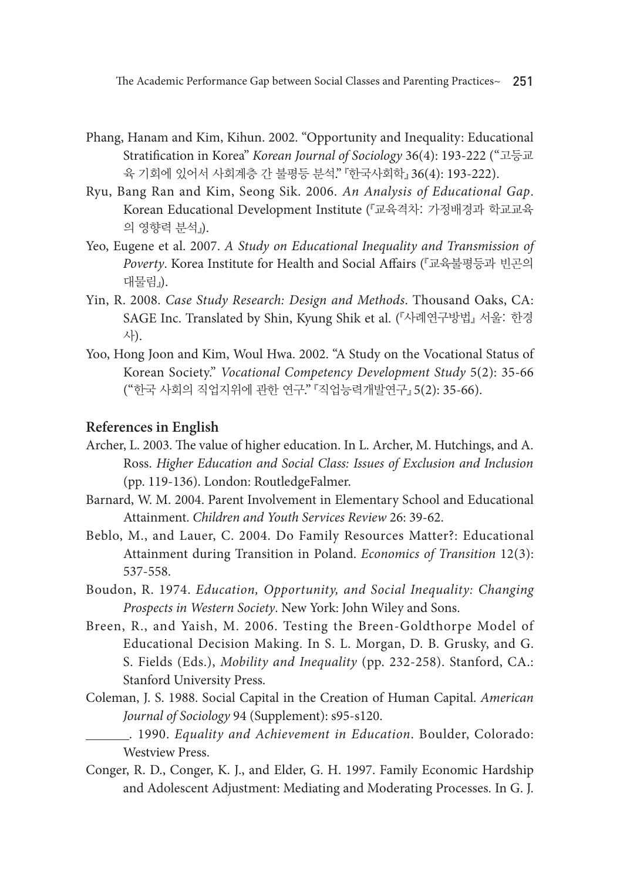The Academic Performance Gap between Social Classes and Parenting Practices~ 251

- Phang, Hanam and Kim, Kihun. 2002. "Opportunity and Inequality: Educational Stratification in Korea" *Korean Journal of Sociology* 36(4): 193-222 ("고등교 육 기회에 있어서 사회계층 간 불평등 분석." 『한국사회학』 36(4): 193-222).
- Ryu, Bang Ran and Kim, Seong Sik. 2006. *An Analysis of Educational Gap*. Korean Educational Development Institute (『교육격차: 가정배경과 학교교육 의 영향력 분석』).
- Yeo, Eugene et al. 2007. *A Study on Educational Inequality and Transmission of Poverty*. Korea Institute for Health and Social Affairs (『교육불평등과 빈곤의 대물림』).
- Yin, R. 2008. *Case Study Research: Design and Methods*. Thousand Oaks, CA: SAGE Inc. Translated by Shin, Kyung Shik et al. (『사례연구방법』 서울: 한경 사).
- Yoo, Hong Joon and Kim, Woul Hwa. 2002. "A Study on the Vocational Status of Korean Society." *Vocational Competency Development Study* 5(2): 35-66 ("한국 사회의 직업지위에 관한 연구." 『직업능력개발연구』 5(2): 35-66).

#### **References in English**

- Archer, L. 2003. The value of higher education. In L. Archer, M. Hutchings, and A. Ross. *Higher Education and Social Class: Issues of Exclusion and Inclusion* (pp. 119-136). London: RoutledgeFalmer.
- Barnard, W. M. 2004. Parent Involvement in Elementary School and Educational Attainment. *Children and Youth Services Review* 26: 39-62.
- Beblo, M., and Lauer, C. 2004. Do Family Resources Matter?: Educational Attainment during Transition in Poland. *Economics of Transition* 12(3): 537-558.
- Boudon, R. 1974. *Education, Opportunity, and Social Inequality: Changing Prospects in Western Society*. New York: John Wiley and Sons.
- Breen, R., and Yaish, M. 2006. Testing the Breen-Goldthorpe Model of Educational Decision Making. In S. L. Morgan, D. B. Grusky, and G. S. Fields (Eds.), *Mobility and Inequality* (pp. 232-258). Stanford, CA.: Stanford University Press.
- Coleman, J. S. 1988. Social Capital in the Creation of Human Capital. *American Journal of Sociology* 94 (Supplement): s95-s120.
	- . 1990. *Equality and Achievement in Education*. Boulder, Colorado: Westview Press.
- Conger, R. D., Conger, K. J., and Elder, G. H. 1997. Family Economic Hardship and Adolescent Adjustment: Mediating and Moderating Processes. In G. J.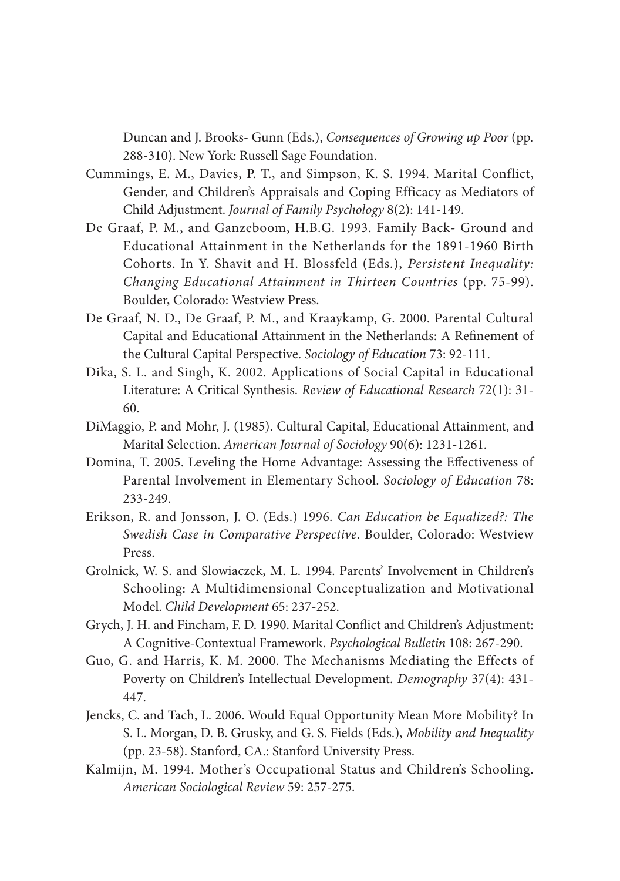Duncan and J. Brooks- Gunn (Eds.), *Consequences of Growing up Poor* (pp. 288-310). New York: Russell Sage Foundation.

- Cummings, E. M., Davies, P. T., and Simpson, K. S. 1994. Marital Conflict, Gender, and Children's Appraisals and Coping Efficacy as Mediators of Child Adjustment. *Journal of Family Psychology* 8(2): 141-149.
- De Graaf, P. M., and Ganzeboom, H.B.G. 1993. Family Back- Ground and Educational Attainment in the Netherlands for the 1891-1960 Birth Cohorts. In Y. Shavit and H. Blossfeld (Eds.), *Persistent Inequality: Changing Educational Attainment in Thirteen Countries* (pp. 75-99). Boulder, Colorado: Westview Press.
- De Graaf, N. D., De Graaf, P. M., and Kraaykamp, G. 2000. Parental Cultural Capital and Educational Attainment in the Netherlands: A Refinement of the Cultural Capital Perspective. *Sociology of Education* 73: 92-111.
- Dika, S. L. and Singh, K. 2002. Applications of Social Capital in Educational Literature: A Critical Synthesis. *Review of Educational Research* 72(1): 31- 60.
- DiMaggio, P. and Mohr, J. (1985). Cultural Capital, Educational Attainment, and Marital Selection. *American Journal of Sociology* 90(6): 1231-1261.
- Domina, T. 2005. Leveling the Home Advantage: Assessing the Effectiveness of Parental Involvement in Elementary School. *Sociology of Education* 78: 233-249.
- Erikson, R. and Jonsson, J. O. (Eds.) 1996. *Can Education be Equalized?: The Swedish Case in Comparative Perspective*. Boulder, Colorado: Westview Press.
- Grolnick, W. S. and Slowiaczek, M. L. 1994. Parents' Involvement in Children's Schooling: A Multidimensional Conceptualization and Motivational Model. *Child Development* 65: 237-252.
- Grych, J. H. and Fincham, F. D. 1990. Marital Conflict and Children's Adjustment: A Cognitive-Contextual Framework. *Psychological Bulletin* 108: 267-290.
- Guo, G. and Harris, K. M. 2000. The Mechanisms Mediating the Effects of Poverty on Children's Intellectual Development. *Demography* 37(4): 431- 447.
- Jencks, C. and Tach, L. 2006. Would Equal Opportunity Mean More Mobility? In S. L. Morgan, D. B. Grusky, and G. S. Fields (Eds.), *Mobility and Inequality* (pp. 23-58). Stanford, CA.: Stanford University Press.
- Kalmijn, M. 1994. Mother's Occupational Status and Children's Schooling. *American Sociological Review* 59: 257-275.